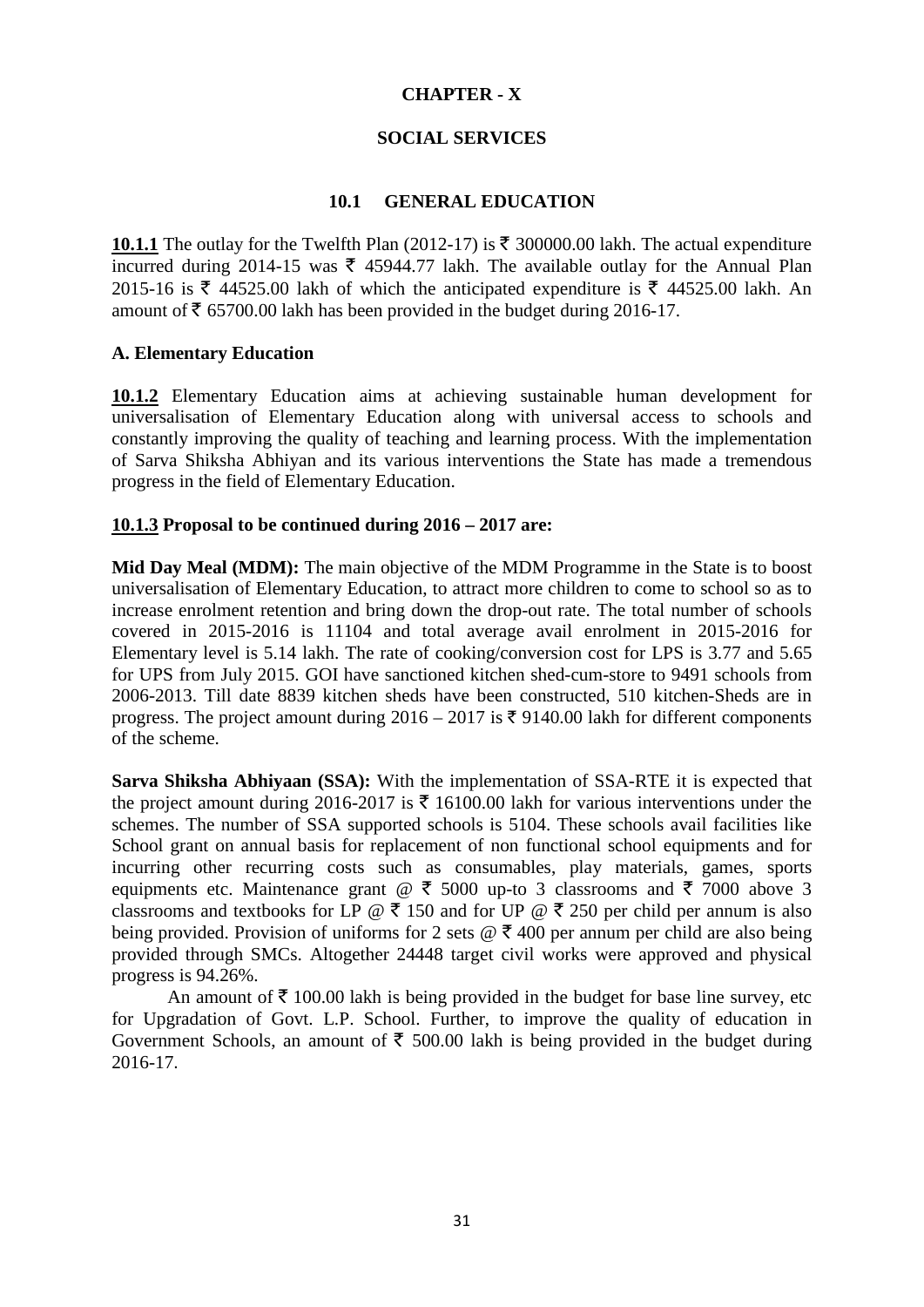# **CHAPTER - X**

# **SOCIAL SERVICES**

# **10.1 GENERAL EDUCATION**

**10.1.1** The outlay for the Twelfth Plan (2012-17) is  $\bar{\tau}$  300000.00 lakh. The actual expenditure incurred during 2014-15 was  $\bar{\xi}$  45944.77 lakh. The available outlay for the Annual Plan 2015-16 is  $\bar{\xi}$  44525.00 lakh of which the anticipated expenditure is  $\bar{\xi}$  44525.00 lakh. An amount of  $\bar{\tau}$  65700.00 lakh has been provided in the budget during 2016-17.

## **A. Elementary Education**

**10.1.2** Elementary Education aims at achieving sustainable human development for universalisation of Elementary Education along with universal access to schools and constantly improving the quality of teaching and learning process. With the implementation of Sarva Shiksha Abhiyan and its various interventions the State has made a tremendous progress in the field of Elementary Education.

# **10.1.3 Proposal to be continued during 2016 – 2017 are:**

**Mid Day Meal (MDM):** The main objective of the MDM Programme in the State is to boost universalisation of Elementary Education, to attract more children to come to school so as to increase enrolment retention and bring down the drop-out rate. The total number of schools covered in 2015-2016 is 11104 and total average avail enrolment in 2015-2016 for Elementary level is 5.14 lakh. The rate of cooking/conversion cost for LPS is 3.77 and 5.65 for UPS from July 2015. GOI have sanctioned kitchen shed-cum-store to 9491 schools from 2006-2013. Till date 8839 kitchen sheds have been constructed, 510 kitchen-Sheds are in progress. The project amount during  $2016 - 2017$  is  $\overline{\xi}$  9140.00 lakh for different components of the scheme.

**Sarva Shiksha Abhiyaan (SSA):** With the implementation of SSA-RTE it is expected that the project amount during 2016-2017 is  $\bar{\tau}$  16100.00 lakh for various interventions under the schemes. The number of SSA supported schools is 5104. These schools avail facilities like School grant on annual basis for replacement of non functional school equipments and for incurring other recurring costs such as consumables, play materials, games, sports equipments etc. Maintenance grant  $\mathcal{Q} \bar{\xi}$  5000 up-to 3 classrooms and  $\bar{\xi}$  7000 above 3 classrooms and textbooks for LP  $\omega \bar{\tau}$  150 and for UP  $\omega \bar{\tau}$  250 per child per annum is also being provided. Provision of uniforms for 2 sets  $\mathcal{Q} \bar{\tau}$  400 per annum per child are also being provided through SMCs. Altogether 24448 target civil works were approved and physical progress is 94.26%.

An amount of  $\bar{\tau}$  100.00 lakh is being provided in the budget for base line survey, etc for Upgradation of Govt. L.P. School. Further, to improve the quality of education in Government Schools, an amount of  $\bar{\tau}$  500.00 lakh is being provided in the budget during 2016-17.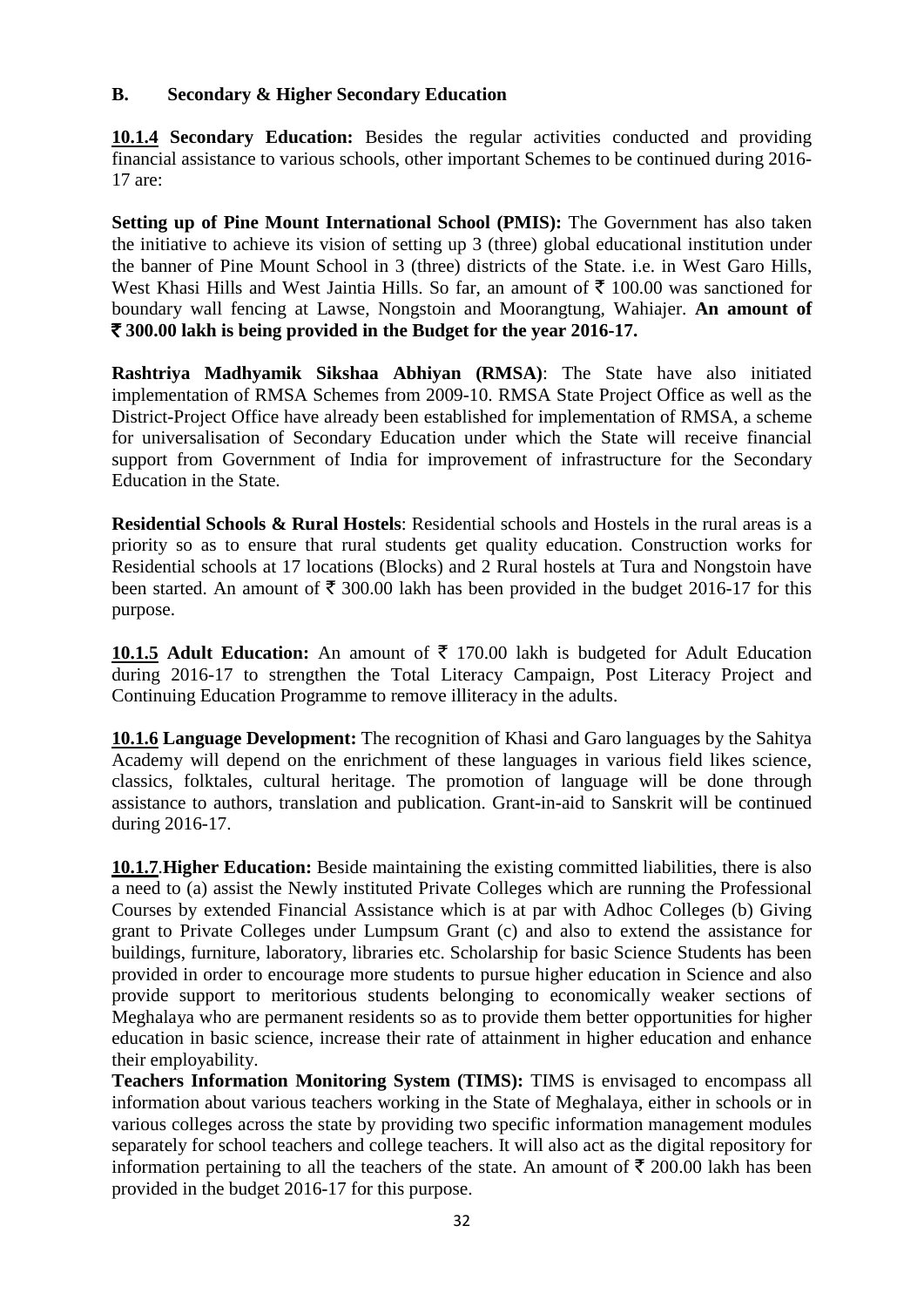# **B. Secondary & Higher Secondary Education**

**10.1.4 Secondary Education:** Besides the regular activities conducted and providing financial assistance to various schools, other important Schemes to be continued during 2016- 17 are:

**Setting up of Pine Mount International School (PMIS):** The Government has also taken the initiative to achieve its vision of setting up 3 (three) global educational institution under the banner of Pine Mount School in 3 (three) districts of the State. i.e. in West Garo Hills, West Khasi Hills and West Jaintia Hills. So far, an amount of  $\bar{\tau}$  100.00 was sanctioned for boundary wall fencing at Lawse, Nongstoin and Moorangtung, Wahiajer. **An amount of**  ` **300.00 lakh is being provided in the Budget for the year 2016-17.**

**Rashtriya Madhyamik Sikshaa Abhiyan (RMSA)**: The State have also initiated implementation of RMSA Schemes from 2009-10. RMSA State Project Office as well as the District-Project Office have already been established for implementation of RMSA, a scheme for universalisation of Secondary Education under which the State will receive financial support from Government of India for improvement of infrastructure for the Secondary Education in the State.

**Residential Schools & Rural Hostels**: Residential schools and Hostels in the rural areas is a priority so as to ensure that rural students get quality education. Construction works for Residential schools at 17 locations (Blocks) and 2 Rural hostels at Tura and Nongstoin have been started. An amount of  $\bar{\xi}$  300.00 lakh has been provided in the budget 2016-17 for this purpose.

**10.1.5 Adult Education:** An amount of  $\bar{\tau}$  170.00 lakh is budgeted for Adult Education during 2016-17 to strengthen the Total Literacy Campaign, Post Literacy Project and Continuing Education Programme to remove illiteracy in the adults.

**10.1.6 Language Development:** The recognition of Khasi and Garo languages by the Sahitya Academy will depend on the enrichment of these languages in various field likes science, classics, folktales, cultural heritage. The promotion of language will be done through assistance to authors, translation and publication. Grant-in-aid to Sanskrit will be continued during 2016-17.

**10.1.7** .**Higher Education:** Beside maintaining the existing committed liabilities, there is also a need to (a) assist the Newly instituted Private Colleges which are running the Professional Courses by extended Financial Assistance which is at par with Adhoc Colleges (b) Giving grant to Private Colleges under Lumpsum Grant (c) and also to extend the assistance for buildings, furniture, laboratory, libraries etc. Scholarship for basic Science Students has been provided in order to encourage more students to pursue higher education in Science and also provide support to meritorious students belonging to economically weaker sections of Meghalaya who are permanent residents so as to provide them better opportunities for higher education in basic science, increase their rate of attainment in higher education and enhance their employability.

**Teachers Information Monitoring System (TIMS):** TIMS is envisaged to encompass all information about various teachers working in the State of Meghalaya, either in schools or in various colleges across the state by providing two specific information management modules separately for school teachers and college teachers. It will also act as the digital repository for information pertaining to all the teachers of the state. An amount of  $\bar{\tau}$  200.00 lakh has been provided in the budget 2016-17 for this purpose.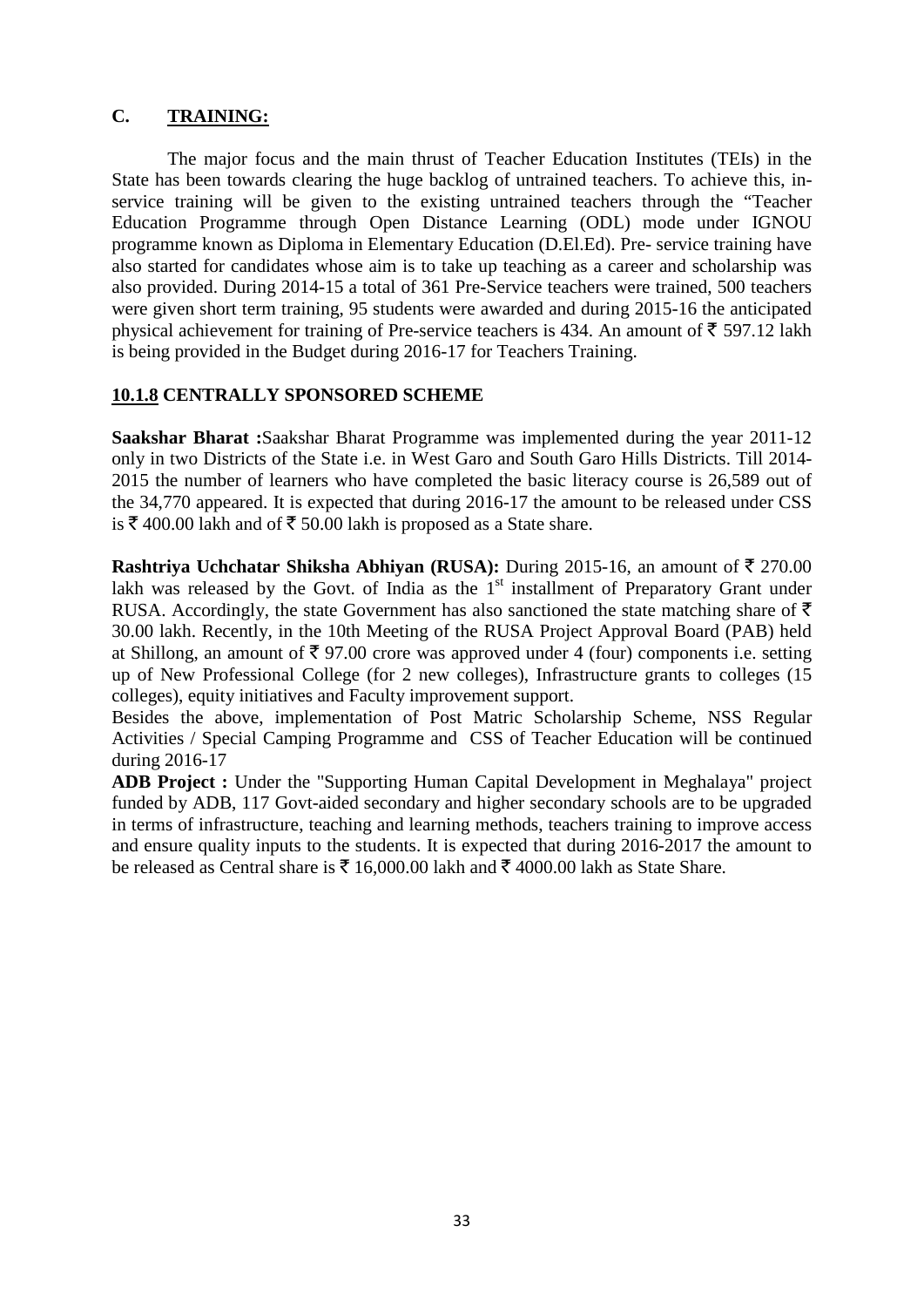# **C. TRAINING:**

The major focus and the main thrust of Teacher Education Institutes (TEIs) in the State has been towards clearing the huge backlog of untrained teachers. To achieve this, inservice training will be given to the existing untrained teachers through the "Teacher Education Programme through Open Distance Learning (ODL) mode under IGNOU programme known as Diploma in Elementary Education (D.El.Ed). Pre- service training have also started for candidates whose aim is to take up teaching as a career and scholarship was also provided. During 2014-15 a total of 361 Pre-Service teachers were trained, 500 teachers were given short term training, 95 students were awarded and during 2015-16 the anticipated physical achievement for training of Pre-service teachers is 434. An amount of  $\bar{\tau}$  597.12 lakh is being provided in the Budget during 2016-17 for Teachers Training.

# **10.1.8 CENTRALLY SPONSORED SCHEME**

**Saakshar Bharat :**Saakshar Bharat Programme was implemented during the year 2011-12 only in two Districts of the State i.e. in West Garo and South Garo Hills Districts. Till 2014- 2015 the number of learners who have completed the basic literacy course is 26,589 out of the 34,770 appeared. It is expected that during 2016-17 the amount to be released under CSS is  $\bar{\tau}$  400.00 lakh and of  $\bar{\tau}$  50.00 lakh is proposed as a State share.

**Rashtriya Uchchatar Shiksha Abhiyan (RUSA):** During 2015-16, an amount of  $\bar{\tau}$  270.00 lakh was released by the Govt. of India as the  $1<sup>st</sup>$  installment of Preparatory Grant under RUSA. Accordingly, the state Government has also sanctioned the state matching share of  $\bar{\tau}$ 30.00 lakh. Recently, in the 10th Meeting of the RUSA Project Approval Board (PAB) held at Shillong, an amount of  $\bar{\tau}$  97.00 crore was approved under 4 (four) components i.e. setting up of New Professional College (for 2 new colleges), Infrastructure grants to colleges (15 colleges), equity initiatives and Faculty improvement support.

Besides the above, implementation of Post Matric Scholarship Scheme, NSS Regular Activities / Special Camping Programme and CSS of Teacher Education will be continued during 2016-17

**ADB Project :** Under the "Supporting Human Capital Development in Meghalaya" project funded by ADB, 117 Govt-aided secondary and higher secondary schools are to be upgraded in terms of infrastructure, teaching and learning methods, teachers training to improve access and ensure quality inputs to the students. It is expected that during 2016-2017 the amount to be released as Central share is  $\bar{\tau}$  16,000.00 lakh and  $\bar{\tau}$  4000.00 lakh as State Share.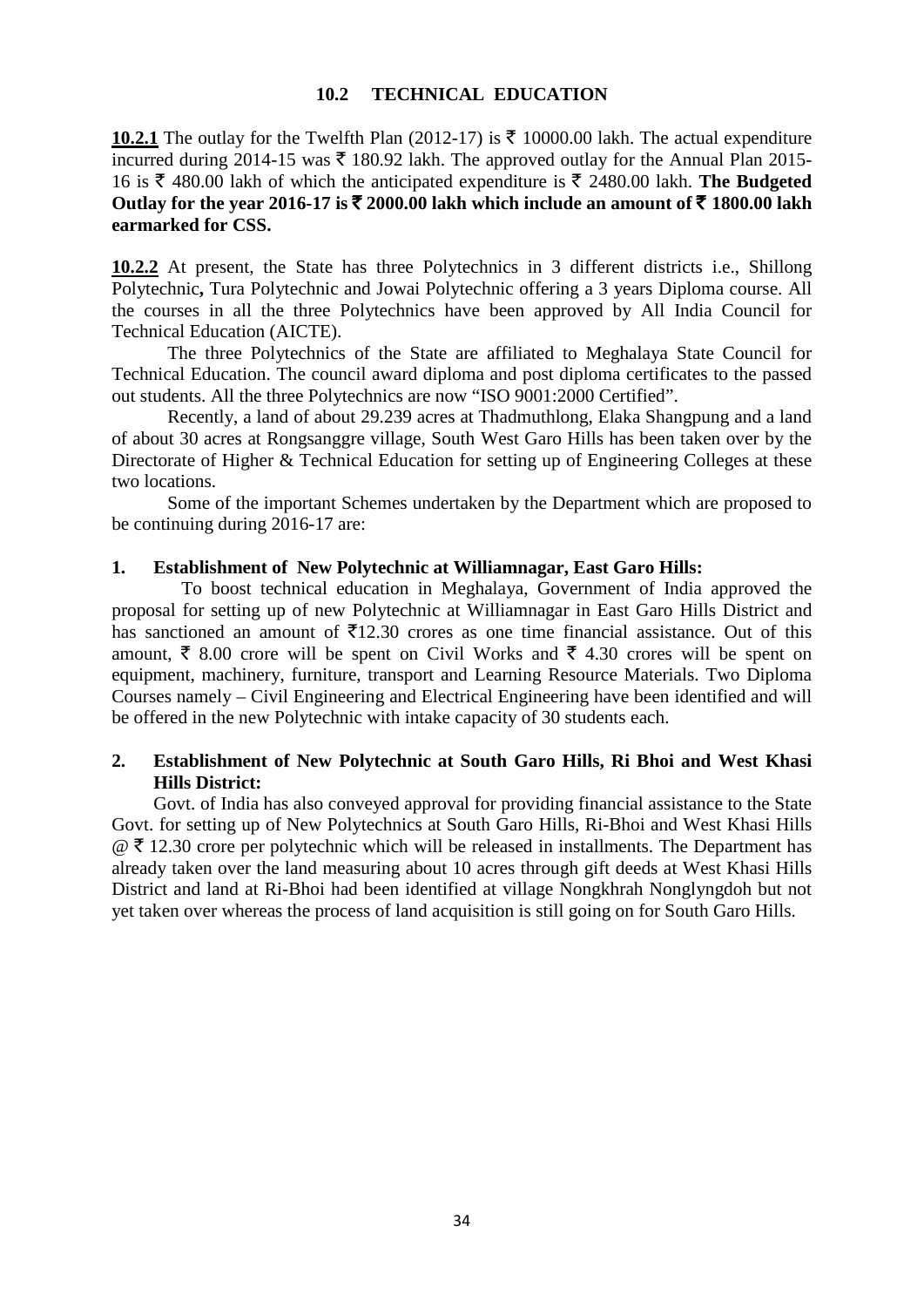## **10.2 TECHNICAL EDUCATION**

**10.2.1** The outlay for the Twelfth Plan (2012-17) is  $\bar{\tau}$  10000.00 lakh. The actual expenditure incurred during 2014-15 was  $\bar{\tau}$  180.92 lakh. The approved outlay for the Annual Plan 2015-16 is  $\bar{\xi}$  480.00 lakh of which the anticipated expenditure is  $\bar{\xi}$  2480.00 lakh. **The Budgeted** Outlay for the year 2016-17 is  $\bar{\xi}$  2000.00 lakh which include an amount of  $\bar{\xi}$  1800.00 lakh **earmarked for CSS.**

**10.2.2** At present, the State has three Polytechnics in 3 different districts i.e., Shillong Polytechnic**,** Tura Polytechnic and Jowai Polytechnic offering a 3 years Diploma course. All the courses in all the three Polytechnics have been approved by All India Council for Technical Education (AICTE).

The three Polytechnics of the State are affiliated to Meghalaya State Council for Technical Education. The council award diploma and post diploma certificates to the passed out students. All the three Polytechnics are now "ISO 9001:2000 Certified".

Recently, a land of about 29.239 acres at Thadmuthlong, Elaka Shangpung and a land of about 30 acres at Rongsanggre village, South West Garo Hills has been taken over by the Directorate of Higher & Technical Education for setting up of Engineering Colleges at these two locations.

Some of the important Schemes undertaken by the Department which are proposed to be continuing during 2016-17 are:

## **1. Establishment of New Polytechnic at Williamnagar, East Garo Hills:**

To boost technical education in Meghalaya, Government of India approved the proposal for setting up of new Polytechnic at Williamnagar in East Garo Hills District and has sanctioned an amount of  $\overline{5}12.30$  crores as one time financial assistance. Out of this amount,  $\bar{\xi}$  8.00 crore will be spent on Civil Works and  $\bar{\xi}$  4.30 crores will be spent on equipment, machinery, furniture, transport and Learning Resource Materials. Two Diploma Courses namely – Civil Engineering and Electrical Engineering have been identified and will be offered in the new Polytechnic with intake capacity of 30 students each.

# **2. Establishment of New Polytechnic at South Garo Hills, Ri Bhoi and West Khasi Hills District:**

Govt. of India has also conveyed approval for providing financial assistance to the State Govt. for setting up of New Polytechnics at South Garo Hills, Ri-Bhoi and West Khasi Hills  $\mathcal{Q}$   $\bar{\tau}$  12.30 crore per polytechnic which will be released in installments. The Department has already taken over the land measuring about 10 acres through gift deeds at West Khasi Hills District and land at Ri-Bhoi had been identified at village Nongkhrah Nonglyngdoh but not yet taken over whereas the process of land acquisition is still going on for South Garo Hills.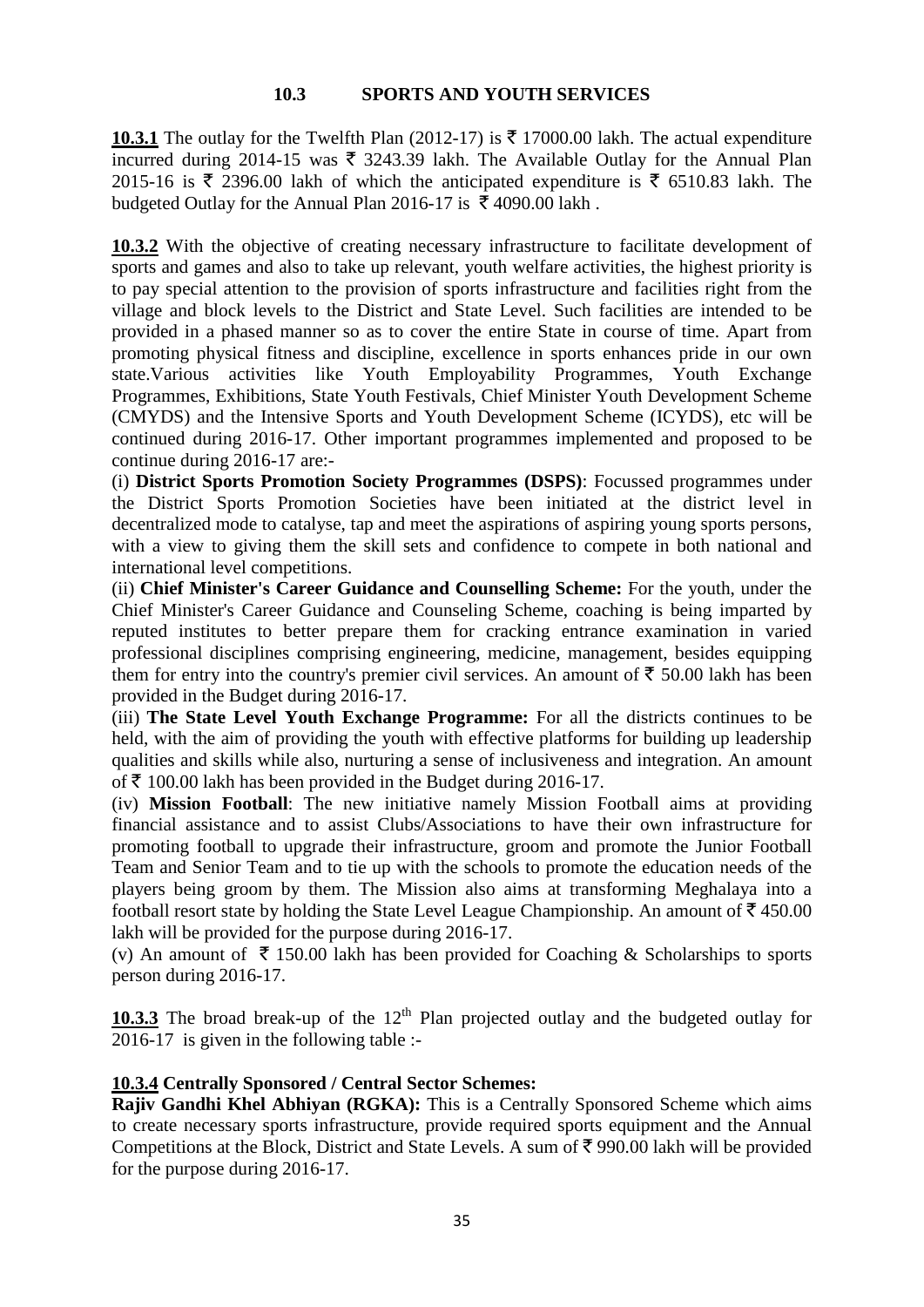## **10.3 SPORTS AND YOUTH SERVICES**

**10.3.1** The outlay for the Twelfth Plan (2012-17) is  $\bar{\tau}$  17000.00 lakh. The actual expenditure incurred during 2014-15 was  $\bar{\tau}$  3243.39 lakh. The Available Outlay for the Annual Plan 2015-16 is  $\bar{\tau}$  2396.00 lakh of which the anticipated expenditure is  $\bar{\tau}$  6510.83 lakh. The budgeted Outlay for the Annual Plan 2016-17 is  $\bar{\tau}$  4090.00 lakh.

10.3.2 With the objective of creating necessary infrastructure to facilitate development of sports and games and also to take up relevant, youth welfare activities, the highest priority is to pay special attention to the provision of sports infrastructure and facilities right from the village and block levels to the District and State Level. Such facilities are intended to be provided in a phased manner so as to cover the entire State in course of time. Apart from promoting physical fitness and discipline, excellence in sports enhances pride in our own state.Various activities like Youth Employability Programmes, Youth Exchange Programmes, Exhibitions, State Youth Festivals, Chief Minister Youth Development Scheme (CMYDS) and the Intensive Sports and Youth Development Scheme (ICYDS), etc will be continued during 2016-17. Other important programmes implemented and proposed to be continue during 2016-17 are:-

(i) **District Sports Promotion Society Programmes (DSPS)**: Focussed programmes under the District Sports Promotion Societies have been initiated at the district level in decentralized mode to catalyse, tap and meet the aspirations of aspiring young sports persons, with a view to giving them the skill sets and confidence to compete in both national and international level competitions.

(ii) **Chief Minister's Career Guidance and Counselling Scheme:** For the youth, under the Chief Minister's Career Guidance and Counseling Scheme, coaching is being imparted by reputed institutes to better prepare them for cracking entrance examination in varied professional disciplines comprising engineering, medicine, management, besides equipping them for entry into the country's premier civil services. An amount of  $\bar{\tau}$  50.00 lakh has been provided in the Budget during 2016-17.

(iii) **The State Level Youth Exchange Programme:** For all the districts continues to be held, with the aim of providing the youth with effective platforms for building up leadership qualities and skills while also, nurturing a sense of inclusiveness and integration. An amount of  $\bar{\tau}$  100.00 lakh has been provided in the Budget during 2016-17.

(iv) **Mission Football**: The new initiative namely Mission Football aims at providing financial assistance and to assist Clubs/Associations to have their own infrastructure for promoting football to upgrade their infrastructure, groom and promote the Junior Football Team and Senior Team and to tie up with the schools to promote the education needs of the players being groom by them. The Mission also aims at transforming Meghalaya into a football resort state by holding the State Level League Championship. An amount of  $\bar{z}$  450.00 lakh will be provided for the purpose during 2016-17.

(v) An amount of  $\bar{\tau}$  150.00 lakh has been provided for Coaching & Scholarships to sports person during 2016-17.

10.3.3 The broad break-up of the 12<sup>th</sup> Plan projected outlay and the budgeted outlay for 2016-17 is given in the following table :-

# **10.3.4 Centrally Sponsored / Central Sector Schemes:**

**Rajiv Gandhi Khel Abhiyan (RGKA):** This is a Centrally Sponsored Scheme which aims to create necessary sports infrastructure, provide required sports equipment and the Annual Competitions at the Block, District and State Levels. A sum of  $\bar{\tau}$  990.00 lakh will be provided for the purpose during 2016-17.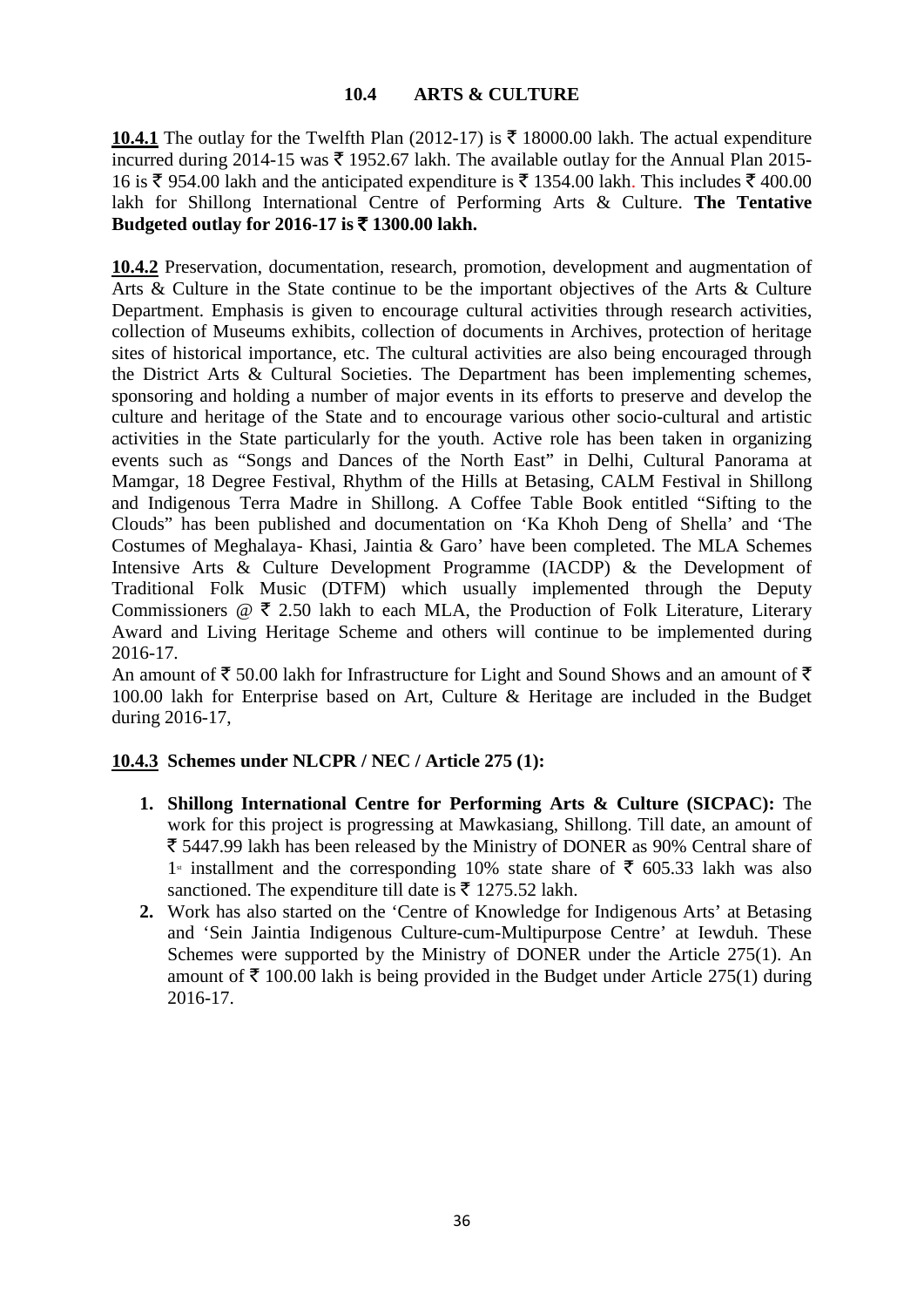# **10.4 ARTS & CULTURE**

**10.4.1** The outlay for the Twelfth Plan (2012-17) is  $\bar{\tau}$  18000.00 lakh. The actual expenditure incurred during 2014-15 was  $\bar{\tau}$  1952.67 lakh. The available outlay for the Annual Plan 2015-16 is  $\bar{\xi}$  954.00 lakh and the anticipated expenditure is  $\bar{\xi}$  1354.00 lakh. This includes  $\bar{\xi}$  400.00 lakh for Shillong International Centre of Performing Arts & Culture. **The Tentative Budgeted outlay for 2016-17 is** ` **1300.00 lakh.**

**10.4.2** Preservation, documentation, research, promotion, development and augmentation of Arts & Culture in the State continue to be the important objectives of the Arts & Culture Department. Emphasis is given to encourage cultural activities through research activities, collection of Museums exhibits, collection of documents in Archives, protection of heritage sites of historical importance, etc. The cultural activities are also being encouraged through the District Arts & Cultural Societies. The Department has been implementing schemes, sponsoring and holding a number of major events in its efforts to preserve and develop the culture and heritage of the State and to encourage various other socio-cultural and artistic activities in the State particularly for the youth. Active role has been taken in organizing events such as "Songs and Dances of the North East" in Delhi, Cultural Panorama at Mamgar, 18 Degree Festival, Rhythm of the Hills at Betasing, CALM Festival in Shillong and Indigenous Terra Madre in Shillong. A Coffee Table Book entitled "Sifting to the Clouds" has been published and documentation on 'Ka Khoh Deng of Shella' and 'The Costumes of Meghalaya- Khasi, Jaintia & Garo' have been completed. The MLA Schemes Intensive Arts & Culture Development Programme (IACDP) & the Development of Traditional Folk Music (DTFM) which usually implemented through the Deputy Commissioners  $\mathcal{Q}$   $\bar{\xi}$  2.50 lakh to each MLA, the Production of Folk Literature, Literary Award and Living Heritage Scheme and others will continue to be implemented during 2016-17.

An amount of  $\bar{\xi}$  50.00 lakh for Infrastructure for Light and Sound Shows and an amount of  $\bar{\xi}$ 100.00 lakh for Enterprise based on Art, Culture & Heritage are included in the Budget during 2016-17,

# **10.4.3 Schemes under NLCPR / NEC / Article 275 (1):**

- **1. Shillong International Centre for Performing Arts & Culture (SICPAC):** The work for this project is progressing at Mawkasiang, Shillong. Till date, an amount of  $\bar{\xi}$  5447.99 lakh has been released by the Ministry of DONER as 90% Central share of 1<sup>s</sup> installment and the corresponding 10% state share of  $\bar{\tau}$  605.33 lakh was also sanctioned. The expenditure till date is  $\bar{\tau}$  1275.52 lakh.
- **2.** Work has also started on the 'Centre of Knowledge for Indigenous Arts' at Betasing and 'Sein Jaintia Indigenous Culture-cum-Multipurpose Centre' at Iewduh. These Schemes were supported by the Ministry of DONER under the Article 275(1). An amount of  $\bar{\tau}$  100.00 lakh is being provided in the Budget under Article 275(1) during 2016-17.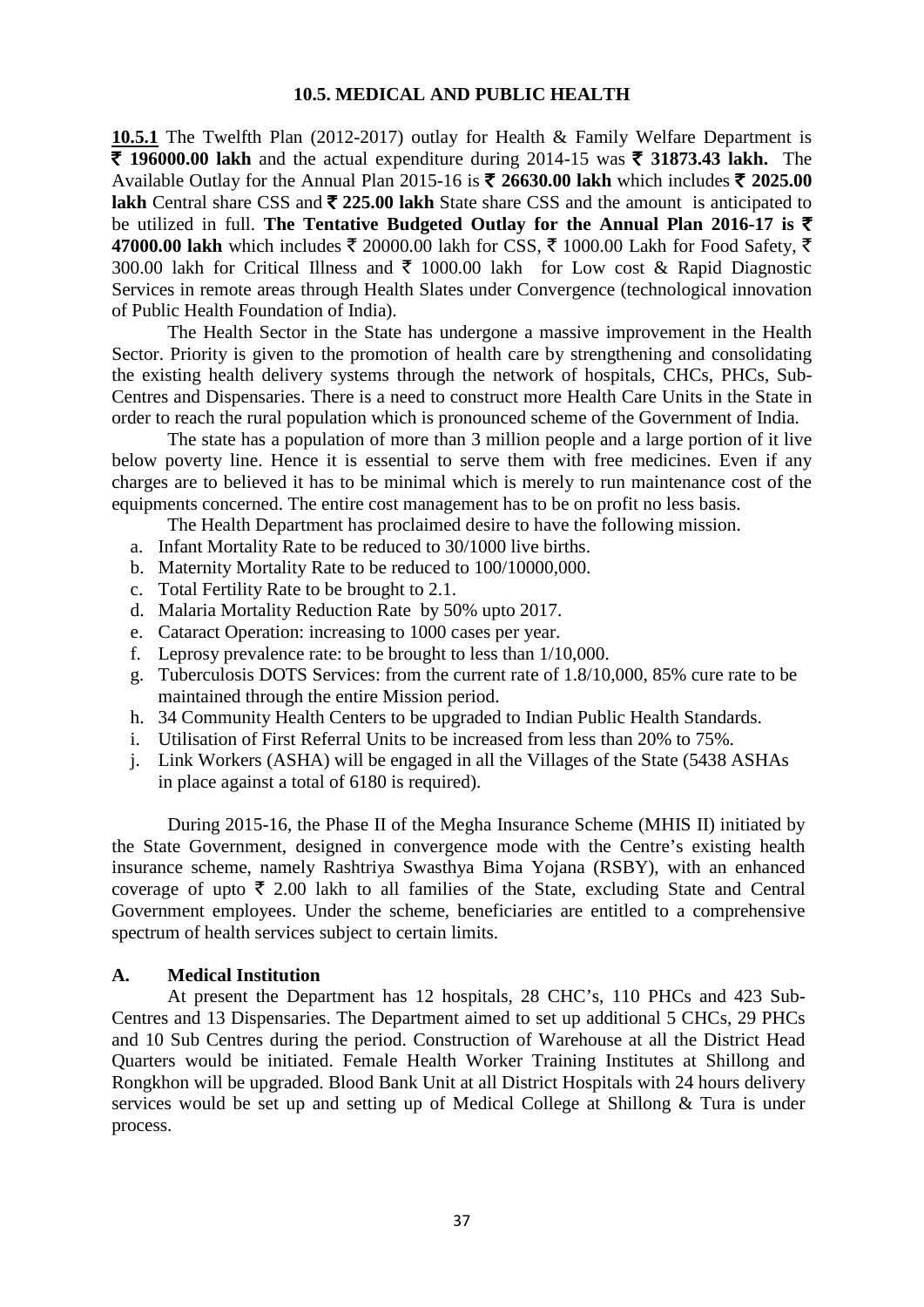### **10.5. MEDICAL AND PUBLIC HEALTH**

**10.5.1** The Twelfth Plan (2012-2017) outlay for Health & Family Welfare Department is **₹ 196000.00 lakh** and the actual expenditure during 2014-15 was ₹ 31873.43 lakh. The Available Outlay for the Annual Plan 2015-16 is  $\bar{\tau}$  26630.00 lakh which includes  $\bar{\tau}$  2025.00 **lakh** Central share CSS and  $\bar{\tau}$  225.00 lakh State share CSS and the amount is anticipated to be utilized in full. **The Tentative Budgeted Outlay for the Annual Plan 2016-17 is** ` 47000.00 lakh which includes  $\bar{\xi}$  20000.00 lakh for CSS,  $\bar{\xi}$  1000.00 Lakh for Food Safety,  $\bar{\xi}$ 300.00 lakh for Critical Illness and  $\bar{\tau}$  1000.00 lakh for Low cost & Rapid Diagnostic Services in remote areas through Health Slates under Convergence (technological innovation of Public Health Foundation of India).

The Health Sector in the State has undergone a massive improvement in the Health Sector. Priority is given to the promotion of health care by strengthening and consolidating the existing health delivery systems through the network of hospitals, CHCs, PHCs, Sub-Centres and Dispensaries. There is a need to construct more Health Care Units in the State in order to reach the rural population which is pronounced scheme of the Government of India.

The state has a population of more than 3 million people and a large portion of it live below poverty line. Hence it is essential to serve them with free medicines. Even if any charges are to believed it has to be minimal which is merely to run maintenance cost of the equipments concerned. The entire cost management has to be on profit no less basis.

The Health Department has proclaimed desire to have the following mission.

- a. Infant Mortality Rate to be reduced to 30/1000 live births.
- b. Maternity Mortality Rate to be reduced to 100/10000,000.
- c. Total Fertility Rate to be brought to 2.1.
- d. Malaria Mortality Reduction Rate by 50% upto 2017.
- e. Cataract Operation: increasing to 1000 cases per year.
- f. Leprosy prevalence rate: to be brought to less than 1/10,000.
- g. Tuberculosis DOTS Services: from the current rate of 1.8/10,000, 85% cure rate to be maintained through the entire Mission period.
- h. 34 Community Health Centers to be upgraded to Indian Public Health Standards.
- i. Utilisation of First Referral Units to be increased from less than 20% to 75%.
- j. Link Workers (ASHA) will be engaged in all the Villages of the State (5438 ASHAs in place against a total of 6180 is required).

During 2015-16, the Phase II of the Megha Insurance Scheme (MHIS II) initiated by the State Government, designed in convergence mode with the Centre's existing health insurance scheme, namely Rashtriya Swasthya Bima Yojana (RSBY), with an enhanced coverage of upto  $\bar{\tau}$  2.00 lakh to all families of the State, excluding State and Central Government employees. Under the scheme, beneficiaries are entitled to a comprehensive spectrum of health services subject to certain limits.

#### **A. Medical Institution**

At present the Department has 12 hospitals, 28 CHC's, 110 PHCs and 423 Sub-Centres and 13 Dispensaries. The Department aimed to set up additional 5 CHCs, 29 PHCs and 10 Sub Centres during the period. Construction of Warehouse at all the District Head Quarters would be initiated. Female Health Worker Training Institutes at Shillong and Rongkhon will be upgraded. Blood Bank Unit at all District Hospitals with 24 hours delivery services would be set up and setting up of Medical College at Shillong & Tura is under process.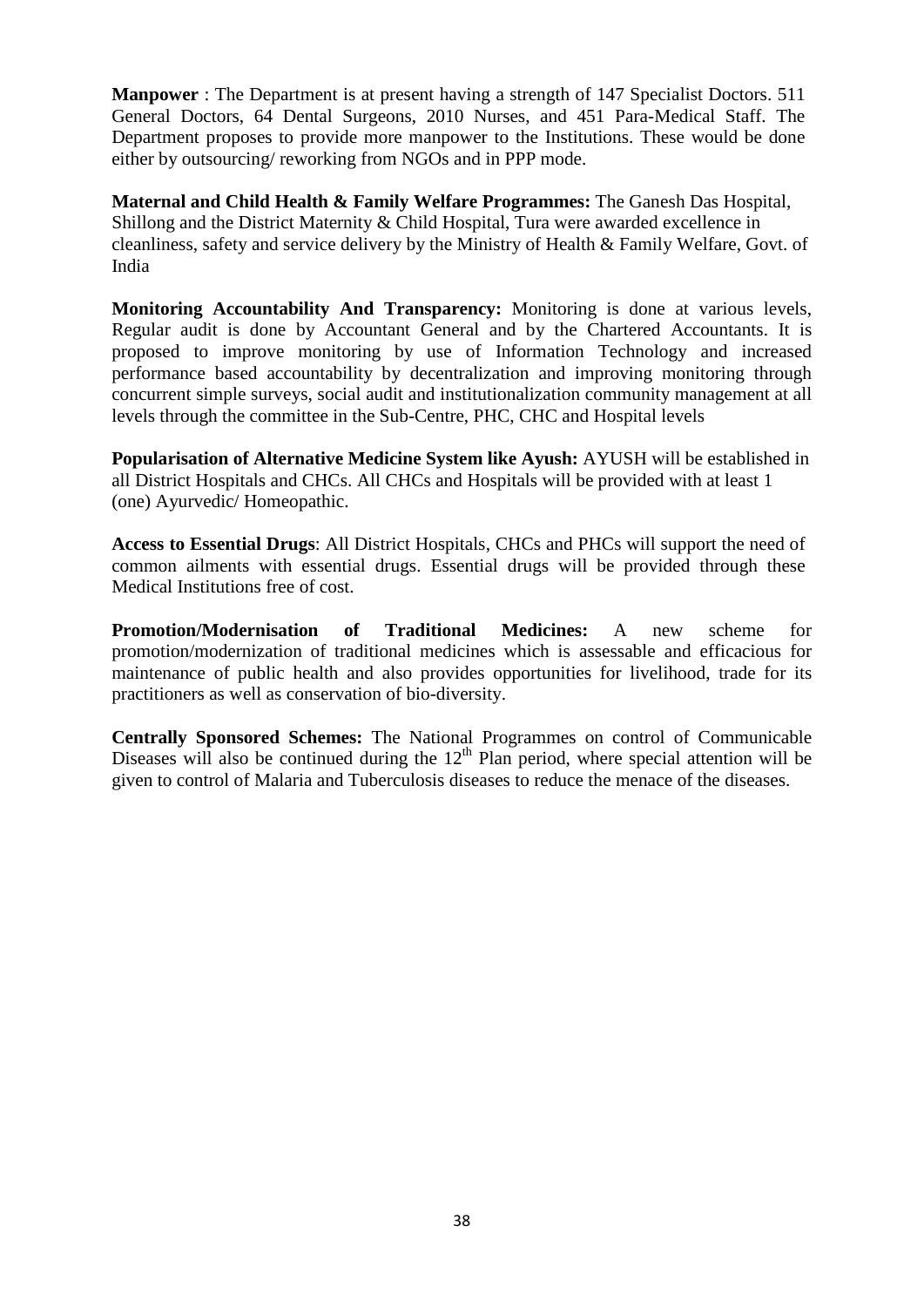**Manpower** : The Department is at present having a strength of 147 Specialist Doctors. 511 General Doctors, 64 Dental Surgeons, 2010 Nurses, and 451 Para-Medical Staff. The Department proposes to provide more manpower to the Institutions. These would be done either by outsourcing/ reworking from NGOs and in PPP mode.

**Maternal and Child Health & Family Welfare Programmes:** The Ganesh Das Hospital, Shillong and the District Maternity & Child Hospital, Tura were awarded excellence in cleanliness, safety and service delivery by the Ministry of Health & Family Welfare, Govt. of India

**Monitoring Accountability And Transparency:** Monitoring is done at various levels, Regular audit is done by Accountant General and by the Chartered Accountants. It is proposed to improve monitoring by use of Information Technology and increased performance based accountability by decentralization and improving monitoring through concurrent simple surveys, social audit and institutionalization community management at all levels through the committee in the Sub-Centre, PHC, CHC and Hospital levels

**Popularisation of Alternative Medicine System like Ayush:** AYUSH will be established in all District Hospitals and CHCs. All CHCs and Hospitals will be provided with at least 1 (one) Ayurvedic/ Homeopathic.

**Access to Essential Drugs**: All District Hospitals, CHCs and PHCs will support the need of common ailments with essential drugs. Essential drugs will be provided through these Medical Institutions free of cost.

**Promotion/Modernisation of Traditional Medicines:** A new scheme for promotion/modernization of traditional medicines which is assessable and efficacious for maintenance of public health and also provides opportunities for livelihood, trade for its practitioners as well as conservation of bio-diversity.

**Centrally Sponsored Schemes:** The National Programmes on control of Communicable Diseases will also be continued during the  $12<sup>th</sup>$  Plan period, where special attention will be given to control of Malaria and Tuberculosis diseases to reduce the menace of the diseases.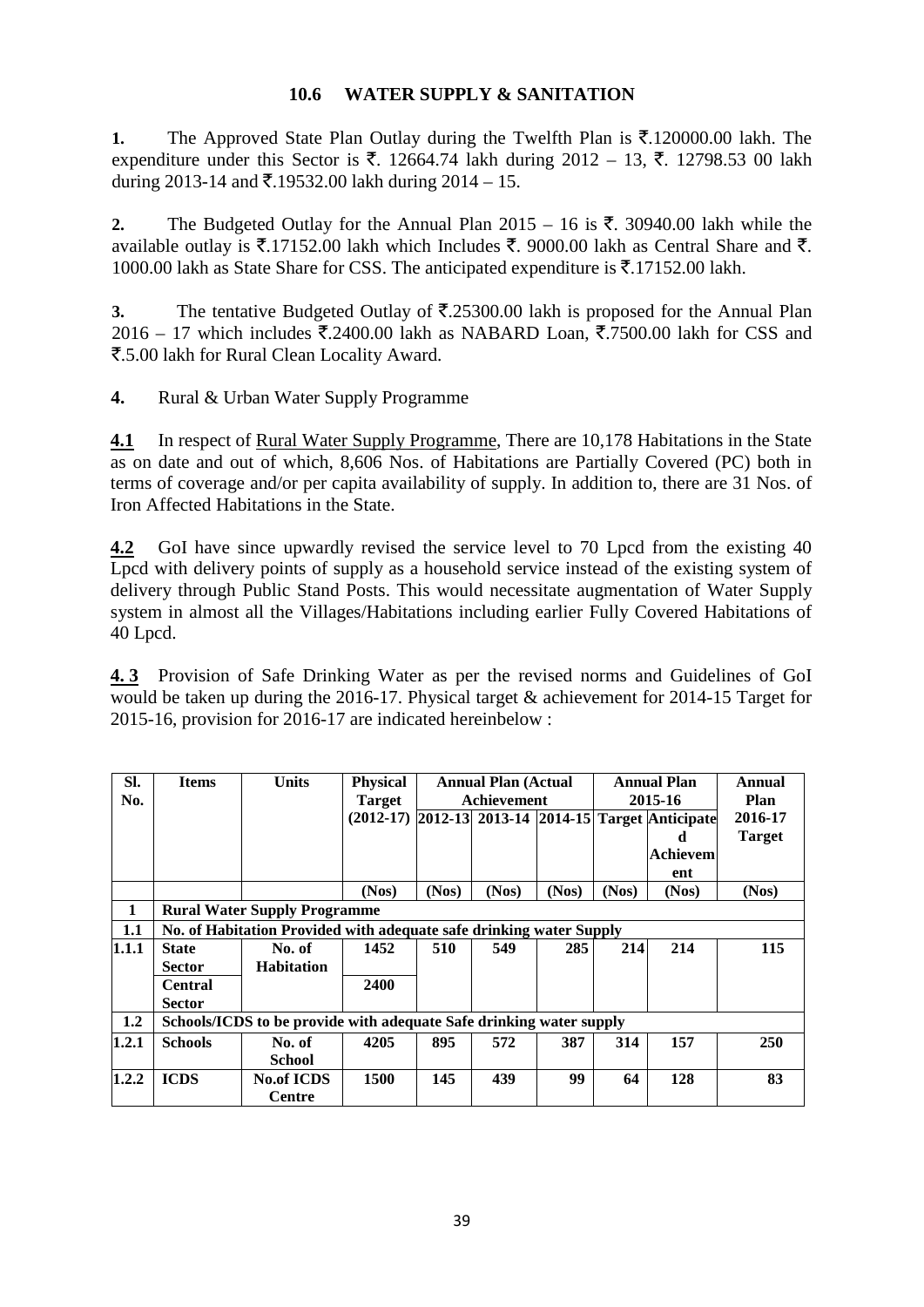# **10.6 WATER SUPPLY & SANITATION**

**1.** The Approved State Plan Outlay during the Twelfth Plan is  $\bar{\xi}$ .120000.00 lakh. The expenditure under this Sector is ₹. 12664.74 lakh during  $2012 - 13$ , ₹. 12798.53 00 lakh during 2013-14 and  $\bar{\mathcal{F}}$ .19532.00 lakh during 2014 – 15.

2. The Budgeted Outlay for the Annual Plan  $2015 - 16$  is  $\overline{\xi}$ . 30940.00 lakh while the available outlay is  $\bar{\xi}$ .17152.00 lakh which Includes  $\bar{\xi}$ . 9000.00 lakh as Central Share and  $\bar{\xi}$ . 1000.00 lakh as State Share for CSS. The anticipated expenditure is  $\overline{\mathfrak{F}}$ .17152.00 lakh.

**3.** The tentative Budgeted Outlay of  $\overline{\mathbf{z}}$ .25300.00 lakh is proposed for the Annual Plan 2016 – 17 which includes  $\overline{\mathfrak{Z}}$ .2400.00 lakh as NABARD Loan,  $\overline{\mathfrak{Z}}$ .7500.00 lakh for CSS and `.5.00 lakh for Rural Clean Locality Award.

**4.** Rural & Urban Water Supply Programme

**4.1** In respect of Rural Water Supply Programme, There are 10,178 Habitations in the State as on date and out of which, 8,606 Nos. of Habitations are Partially Covered (PC) both in terms of coverage and/or per capita availability of supply. In addition to, there are 31 Nos. of Iron Affected Habitations in the State.

**4.2** GoI have since upwardly revised the service level to 70 Lpcd from the existing 40 Lpcd with delivery points of supply as a household service instead of the existing system of delivery through Public Stand Posts. This would necessitate augmentation of Water Supply system in almost all the Villages/Habitations including earlier Fully Covered Habitations of 40 Lpcd.

**4. 3** Provision of Safe Drinking Water as per the revised norms and Guidelines of GoI would be taken up during the 2016-17. Physical target & achievement for 2014-15 Target for 2015-16, provision for 2016-17 are indicated hereinbelow :

| SI.<br>No. | <b>Items</b>                                                        | <b>Units</b>      | <b>Physical</b><br><b>Target</b> | <b>Annual Plan (Actual</b><br>Achievement |       |       | <b>Annual Plan</b><br>2015-16                       |          | Annual<br>Plan |
|------------|---------------------------------------------------------------------|-------------------|----------------------------------|-------------------------------------------|-------|-------|-----------------------------------------------------|----------|----------------|
|            |                                                                     |                   |                                  |                                           |       |       | (2012-17) 2012-13 2013-14 2014-15 Target Anticipate |          | 2016-17        |
|            |                                                                     |                   |                                  |                                           |       |       |                                                     | d        | <b>Target</b>  |
|            |                                                                     |                   |                                  |                                           |       |       |                                                     | Achievem |                |
|            |                                                                     |                   |                                  |                                           |       |       |                                                     | ent      |                |
|            |                                                                     |                   | (Nos)                            | (Nos)                                     | (Nos) | (Nos) | (Nos)                                               | (Nos)    | (Nos)          |
| 1          | <b>Rural Water Supply Programme</b>                                 |                   |                                  |                                           |       |       |                                                     |          |                |
| 1.1        | No. of Habitation Provided with adequate safe drinking water Supply |                   |                                  |                                           |       |       |                                                     |          |                |
| 1.1.1      | <b>State</b>                                                        | No. of            | 1452                             | 510                                       | 549   | 285   | 214                                                 | 214      | 115            |
|            | <b>Sector</b>                                                       | <b>Habitation</b> |                                  |                                           |       |       |                                                     |          |                |
|            | <b>Central</b>                                                      |                   | <b>2400</b>                      |                                           |       |       |                                                     |          |                |
|            | <b>Sector</b>                                                       |                   |                                  |                                           |       |       |                                                     |          |                |
| 1.2        | Schools/ICDS to be provide with adequate Safe drinking water supply |                   |                                  |                                           |       |       |                                                     |          |                |
| 1.2.1      | <b>Schools</b>                                                      | No. of            | 4205                             | 895                                       | 572   | 387   | 314                                                 | 157      | <b>250</b>     |
|            |                                                                     | <b>School</b>     |                                  |                                           |       |       |                                                     |          |                |
| 1.2.2      | <b>ICDS</b>                                                         | <b>No.of ICDS</b> | 1500                             | 145                                       | 439   | 99    | 64                                                  | 128      | 83             |
|            |                                                                     | <b>Centre</b>     |                                  |                                           |       |       |                                                     |          |                |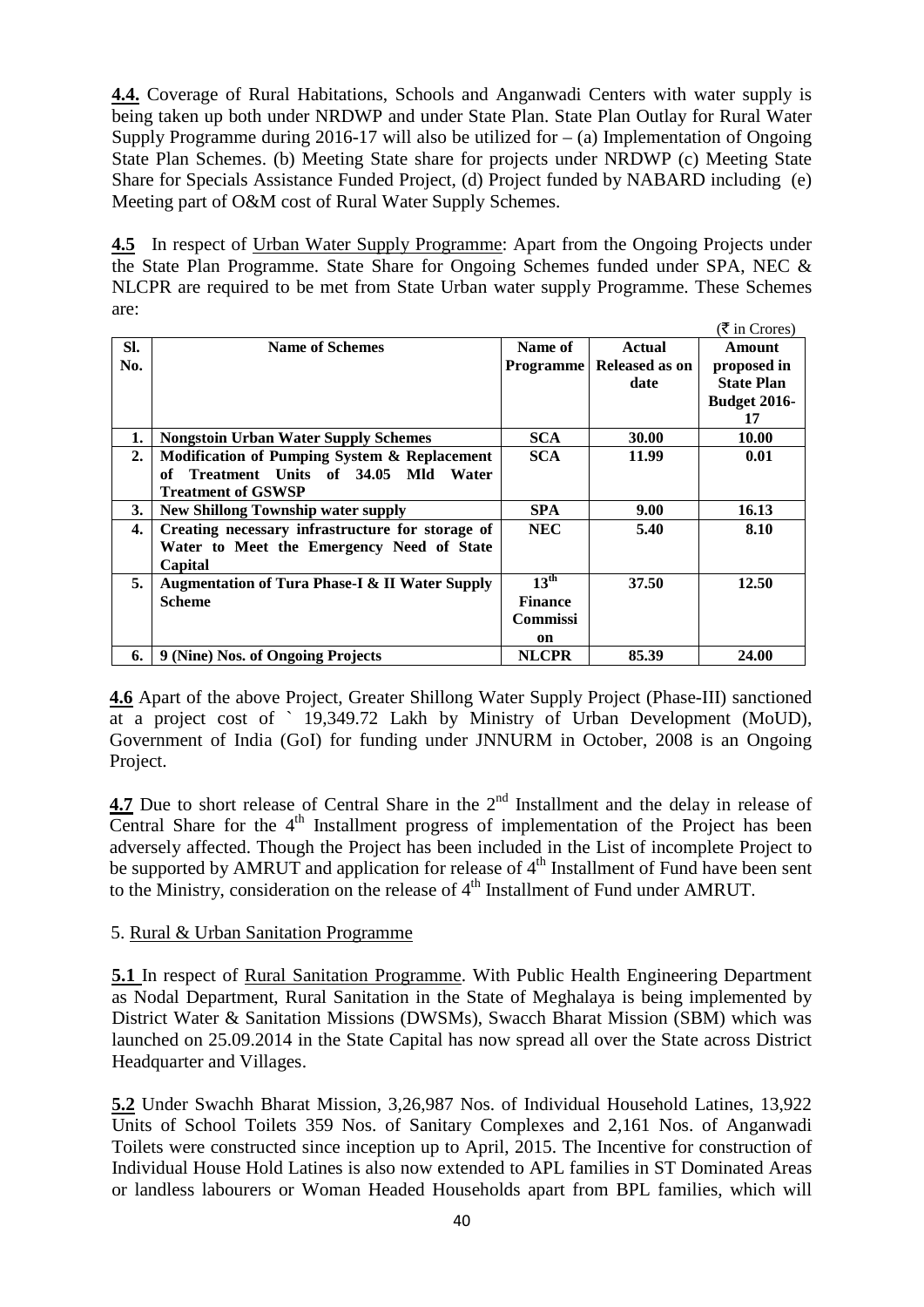**4.4.** Coverage of Rural Habitations, Schools and Anganwadi Centers with water supply is being taken up both under NRDWP and under State Plan. State Plan Outlay for Rural Water Supply Programme during 2016-17 will also be utilized for  $-$  (a) Implementation of Ongoing State Plan Schemes. (b) Meeting State share for projects under NRDWP (c) Meeting State Share for Specials Assistance Funded Project, (d) Project funded by NABARD including (e) Meeting part of O&M cost of Rural Water Supply Schemes.

4.5 In respect of Urban Water Supply Programme: Apart from the Ongoing Projects under the State Plan Programme. State Share for Ongoing Schemes funded under SPA, NEC & NLCPR are required to be met from State Urban water supply Programme. These Schemes are:

|     |                                                           |                  |                | $(\bar{\bar{\mathcal{R}}}$ in Crores) |
|-----|-----------------------------------------------------------|------------------|----------------|---------------------------------------|
| SI. | <b>Name of Schemes</b>                                    | Name of          | <b>Actual</b>  | Amount                                |
| No. |                                                           | Programme        | Released as on | proposed in                           |
|     |                                                           |                  | date           | <b>State Plan</b>                     |
|     |                                                           |                  |                | <b>Budget 2016-</b>                   |
|     |                                                           |                  |                | 17                                    |
| 1.  | <b>Nongstoin Urban Water Supply Schemes</b>               | <b>SCA</b>       | 30.00          | 10.00                                 |
| 2.  | Modification of Pumping System & Replacement              | <b>SCA</b>       | 11.99          | 0.01                                  |
|     | Treatment Units of 34.05 Mld Water<br>of                  |                  |                |                                       |
|     | <b>Treatment of GSWSP</b>                                 |                  |                |                                       |
| 3.  | <b>New Shillong Township water supply</b>                 | SPA.             | 9.00           | 16.13                                 |
| 4.  | Creating necessary infrastructure for storage of          | <b>NEC</b>       | 5.40           | 8.10                                  |
|     | Water to Meet the Emergency Need of State                 |                  |                |                                       |
|     | Capital                                                   |                  |                |                                       |
| 5.  | <b>Augmentation of Tura Phase-I &amp; II Water Supply</b> | $13^{\text{th}}$ | 37.50          | 12.50                                 |
|     | <b>Scheme</b>                                             | <b>Finance</b>   |                |                                       |
|     |                                                           | <b>Commissi</b>  |                |                                       |
|     |                                                           | on               |                |                                       |
| 6.  | 9 (Nine) Nos. of Ongoing Projects                         | <b>NLCPR</b>     | 85.39          | 24.00                                 |

**4.6** Apart of the above Project, Greater Shillong Water Supply Project (Phase-III) sanctioned at a project cost of ` 19,349.72 Lakh by Ministry of Urban Development (MoUD), Government of India (GoI) for funding under JNNURM in October, 2008 is an Ongoing Project.

**4.7** Due to short release of Central Share in the 2<sup>nd</sup> Installment and the delay in release of Central Share for the  $4<sup>th</sup>$  Installment progress of implementation of the Project has been adversely affected. Though the Project has been included in the List of incomplete Project to be supported by AMRUT and application for release of 4<sup>th</sup> Installment of Fund have been sent to the Ministry, consideration on the release of 4<sup>th</sup> Installment of Fund under AMRUT.

# 5. Rural & Urban Sanitation Programme

**5.1** In respect of Rural Sanitation Programme. With Public Health Engineering Department as Nodal Department, Rural Sanitation in the State of Meghalaya is being implemented by District Water & Sanitation Missions (DWSMs), Swacch Bharat Mission (SBM) which was launched on 25.09.2014 in the State Capital has now spread all over the State across District Headquarter and Villages.

**5.2** Under Swachh Bharat Mission, 3,26,987 Nos. of Individual Household Latines, 13,922 Units of School Toilets 359 Nos. of Sanitary Complexes and 2,161 Nos. of Anganwadi Toilets were constructed since inception up to April, 2015. The Incentive for construction of Individual House Hold Latines is also now extended to APL families in ST Dominated Areas or landless labourers or Woman Headed Households apart from BPL families, which will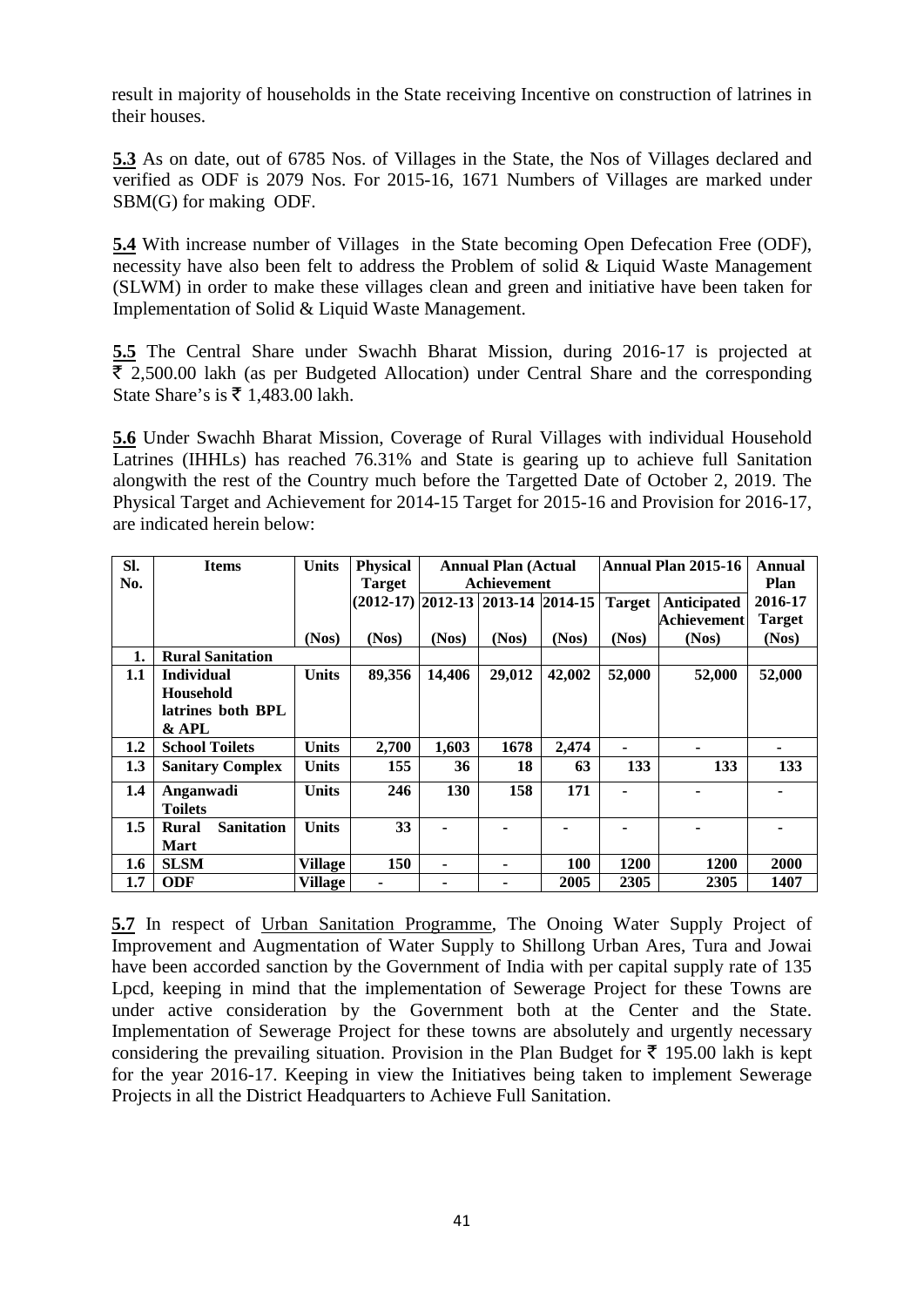result in majority of households in the State receiving Incentive on construction of latrines in their houses.

**5.3** As on date, out of 6785 Nos. of Villages in the State, the Nos of Villages declared and verified as ODF is 2079 Nos. For 2015-16, 1671 Numbers of Villages are marked under SBM(G) for making ODF.

**5.4** With increase number of Villages in the State becoming Open Defecation Free (ODF), necessity have also been felt to address the Problem of solid & Liquid Waste Management (SLWM) in order to make these villages clean and green and initiative have been taken for Implementation of Solid & Liquid Waste Management.

**5.5** The Central Share under Swachh Bharat Mission, during 2016-17 is projected at  $\bar{\tau}$  2,500.00 lakh (as per Budgeted Allocation) under Central Share and the corresponding State Share's is  $\overline{\xi}$  1,483.00 lakh.

**5.6** Under Swachh Bharat Mission, Coverage of Rural Villages with individual Household Latrines (IHHLs) has reached 76.31% and State is gearing up to achieve full Sanitation alongwith the rest of the Country much before the Targetted Date of October 2, 2019. The Physical Target and Achievement for 2014-15 Target for 2015-16 and Provision for 2016-17, are indicated herein below:

| Sl.     | <b>Items</b>               | <b>Units</b>   | <b>Physical</b>                     | <b>Annual Plan (Actual</b> |        |        | <b>Annual Plan 2015-16</b> | Annual             |               |
|---------|----------------------------|----------------|-------------------------------------|----------------------------|--------|--------|----------------------------|--------------------|---------------|
| No.     |                            |                | <b>Target</b>                       | Achievement                |        |        |                            |                    | Plan          |
|         |                            |                | $(2012-17)$ 2012-13 2013-14 2014-15 |                            |        |        | <b>Target</b>              | <b>Anticipated</b> | 2016-17       |
|         |                            |                |                                     |                            |        |        |                            | <b>Achievement</b> | <b>Target</b> |
|         |                            | (Nos)          | (Nos)                               | (Nos)                      | (Nos)  | (Nos)  | (Nos)                      | (Nos)              | (Nos)         |
| 1.      | <b>Rural Sanitation</b>    |                |                                     |                            |        |        |                            |                    |               |
| 1.1     | <b>Individual</b>          | <b>Units</b>   | 89,356                              | 14,406                     | 29,012 | 42,002 | 52,000                     | 52,000             | 52,000        |
|         | <b>Household</b>           |                |                                     |                            |        |        |                            |                    |               |
|         | latrines both BPL          |                |                                     |                            |        |        |                            |                    |               |
|         | & APL                      |                |                                     |                            |        |        |                            |                    |               |
| 1.2     | <b>School Toilets</b>      | Units          | 2,700                               | 1,603                      | 1678   | 2,474  |                            |                    |               |
| 1.3     | <b>Sanitary Complex</b>    | <b>Units</b>   | 155                                 | 36                         | 18     | 63     | 133                        | 133                | 133           |
| 1.4     | Anganwadi                  | <b>Units</b>   | 246                                 | 130                        | 158    | 171    | $\blacksquare$             |                    |               |
|         | Toilets                    |                |                                     |                            |        |        |                            |                    |               |
| 1.5     | <b>Sanitation</b><br>Rural | <b>Units</b>   | 33                                  |                            |        |        |                            |                    |               |
|         | Mart                       |                |                                     |                            |        |        |                            |                    |               |
| 1.6     | <b>SLSM</b>                | <b>Village</b> | 150                                 | ۰                          |        | 100    | 1200                       | <b>1200</b>        | 2000          |
| $1.7\,$ | <b>ODF</b>                 | <b>Village</b> | ۰                                   |                            |        | 2005   | 2305                       | 2305               | 1407          |

**5.7** In respect of Urban Sanitation Programme, The Onoing Water Supply Project of Improvement and Augmentation of Water Supply to Shillong Urban Ares, Tura and Jowai have been accorded sanction by the Government of India with per capital supply rate of 135 Lpcd, keeping in mind that the implementation of Sewerage Project for these Towns are under active consideration by the Government both at the Center and the State. Implementation of Sewerage Project for these towns are absolutely and urgently necessary considering the prevailing situation. Provision in the Plan Budget for  $\bar{\tau}$  195.00 lakh is kept for the year 2016-17. Keeping in view the Initiatives being taken to implement Sewerage Projects in all the District Headquarters to Achieve Full Sanitation.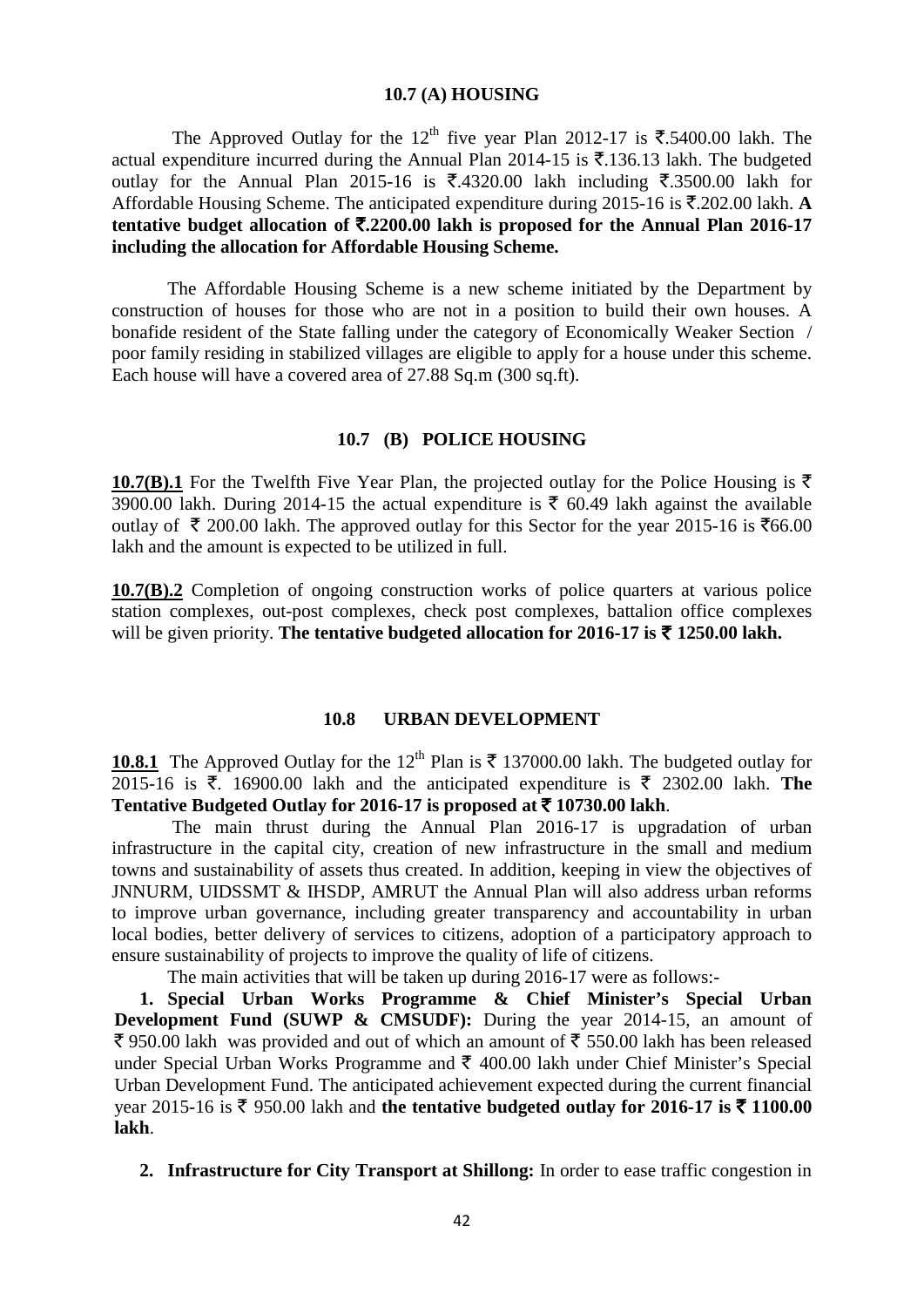#### **10.7 (A) HOUSING**

The Approved Outlay for the 12<sup>th</sup> five year Plan 2012-17 is  $\overline{\mathfrak{F}}$ .5400.00 lakh. The actual expenditure incurred during the Annual Plan 2014-15 is  $\bar{\tau}$ .136.13 lakh. The budgeted outlay for the Annual Plan 2015-16 is  $\overline{5}$ .4320.00 lakh including  $\overline{5}$ .3500.00 lakh for Affordable Housing Scheme. The anticipated expenditure during 2015-16 is  $\bar{\tau}$ . 202.00 lakh. **A tentative budget allocation of** `**.2200.00 lakh is proposed for the Annual Plan 2016-17 including the allocation for Affordable Housing Scheme.**

The Affordable Housing Scheme is a new scheme initiated by the Department by construction of houses for those who are not in a position to build their own houses. A bonafide resident of the State falling under the category of Economically Weaker Section / poor family residing in stabilized villages are eligible to apply for a house under this scheme. Each house will have a covered area of 27.88 Sq.m (300 sq.ft).

### **10.7 (B) POLICE HOUSING**

**10.7(B).1** For the Twelfth Five Year Plan, the projected outlay for the Police Housing is  $\bar{\tau}$ 3900.00 lakh. During 2014-15 the actual expenditure is  $\bar{\tau}$  60.49 lakh against the available outlay of  $\bar{\tau}$  200.00 lakh. The approved outlay for this Sector for the year 2015-16 is  $\bar{\tau}$ 66.00 lakh and the amount is expected to be utilized in full.

**10.7(B).2** Completion of ongoing construction works of police quarters at various police station complexes, out-post complexes, check post complexes, battalion office complexes will be given priority. The tentative budgeted allocation for 2016-17 is  $\bar{\tau}$  1250.00 lakh.

#### **10.8 URBAN DEVELOPMENT**

**10.8.1** The Approved Outlay for the 12<sup>th</sup> Plan is  $\bar{\tau}$  137000.00 lakh. The budgeted outlay for 2015-16 is  $\bar{\tau}$ . 16900.00 lakh and the anticipated expenditure is  $\bar{\tau}$  2302.00 lakh. The Tentative Budgeted Outlay for 2016-17 is proposed at  $\bar{\tau}$  10730.00 lakh.

 The main thrust during the Annual Plan 2016-17 is upgradation of urban infrastructure in the capital city, creation of new infrastructure in the small and medium towns and sustainability of assets thus created. In addition, keeping in view the objectives of JNNURM, UIDSSMT & IHSDP, AMRUT the Annual Plan will also address urban reforms to improve urban governance, including greater transparency and accountability in urban local bodies, better delivery of services to citizens, adoption of a participatory approach to ensure sustainability of projects to improve the quality of life of citizens.

The main activities that will be taken up during 2016-17 were as follows:-

**1. Special Urban Works Programme & Chief Minister's Special Urban Development Fund (SUWP & CMSUDF):** During the year 2014-15, an amount of  $\bar{\xi}$  950.00 lakh was provided and out of which an amount of  $\bar{\xi}$  550.00 lakh has been released under Special Urban Works Programme and  $\bar{\tau}$  400.00 lakh under Chief Minister's Special Urban Development Fund. The anticipated achievement expected during the current financial year 2015-16 is  $\bar{\tau}$  950.00 lakh and the tentative budgeted outlay for 2016-17 is  $\bar{\tau}$  1100.00 **lakh**.

**2. Infrastructure for City Transport at Shillong:** In order to ease traffic congestion in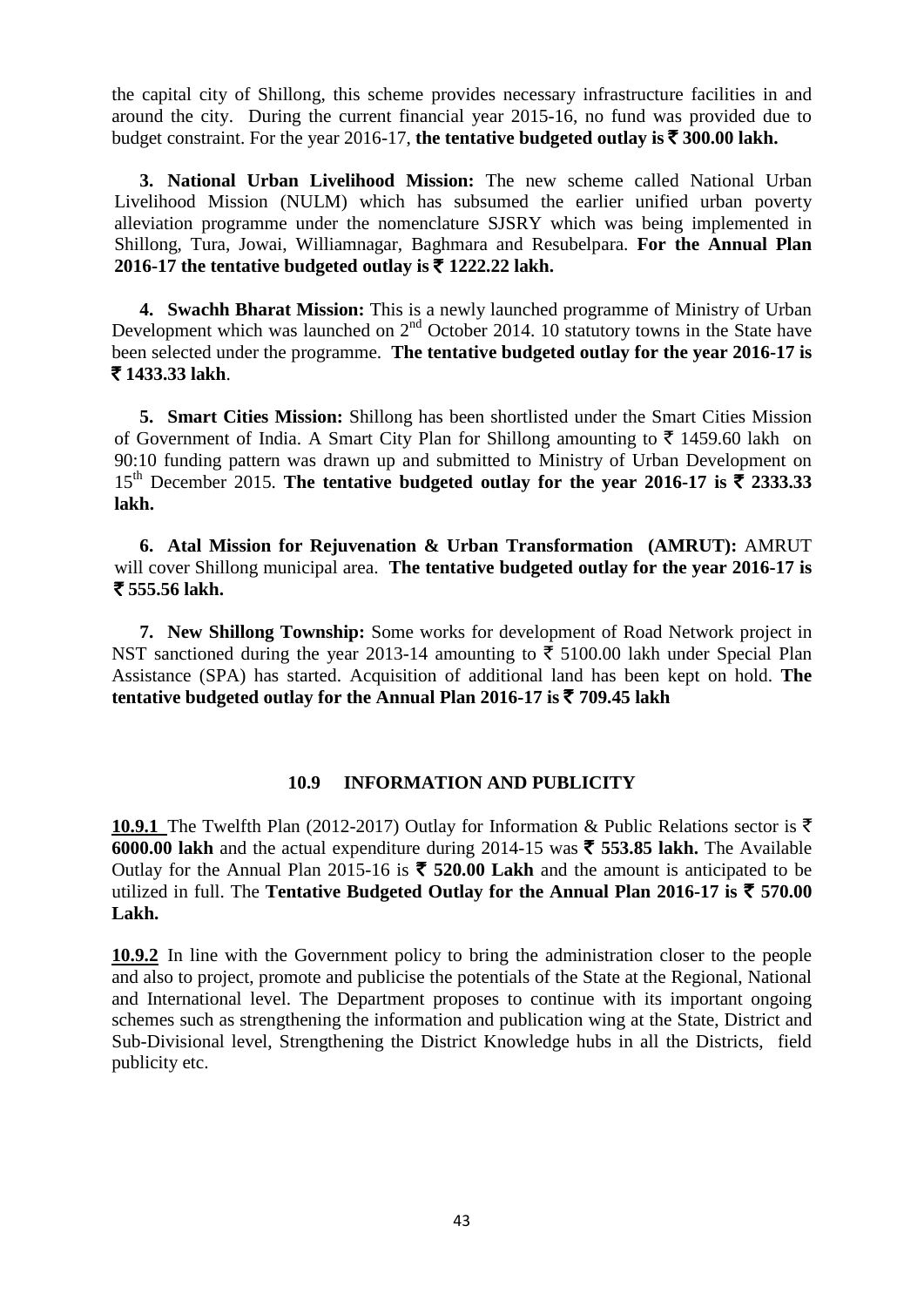the capital city of Shillong, this scheme provides necessary infrastructure facilities in and around the city. During the current financial year 2015-16, no fund was provided due to budget constraint. For the year 2016-17, the tentative budgeted outlay is  $\bar{\xi}$  300.00 lakh.

**3. National Urban Livelihood Mission:** The new scheme called National Urban Livelihood Mission (NULM) which has subsumed the earlier unified urban poverty alleviation programme under the nomenclature SJSRY which was being implemented in Shillong, Tura, Jowai, Williamnagar, Baghmara and Resubelpara. **For the Annual Plan 2016-17** the tentative budgeted outlay is ₹ 1222.22 lakh.

**4. Swachh Bharat Mission:** This is a newly launched programme of Ministry of Urban Development which was launched on  $2<sup>nd</sup>$  October 2014. 10 statutory towns in the State have been selected under the programme. **The tentative budgeted outlay for the year 2016-17 is**  ` **1433.33 lakh**.

**5. Smart Cities Mission:** Shillong has been shortlisted under the Smart Cities Mission of Government of India. A Smart City Plan for Shillong amounting to  $\bar{\tau}$  1459.60 lakh on 90:10 funding pattern was drawn up and submitted to Ministry of Urban Development on 15<sup>th</sup> December 2015. The tentative budgeted outlay for the year 2016-17 is  $\bar{\tau}$  2333.33 **lakh.**

**6. Atal Mission for Rejuvenation & Urban Transformation (AMRUT):** AMRUT will cover Shillong municipal area. **The tentative budgeted outlay for the year 2016-17 is**  ` **555.56 lakh.**

**7. New Shillong Township:** Some works for development of Road Network project in NST sanctioned during the year 2013-14 amounting to  $\bar{\tau}$  5100.00 lakh under Special Plan Assistance (SPA) has started. Acquisition of additional land has been kept on hold. **The tentative budgeted outlay for the Annual Plan 2016-17 is** ` **709.45 lakh**

## **10.9 INFORMATION AND PUBLICITY**

**10.9.1** The Twelfth Plan (2012-2017) Outlay for Information & Public Relations sector is  $\bar{\tau}$ **6000.00 lakh** and the actual expenditure during 2014-15 was  $\bar{\tau}$  553.85 lakh. The Available Outlay for the Annual Plan 2015-16 is  $\bar{\tau}$  520.00 Lakh and the amount is anticipated to be utilized in full. The **Tentative Budgeted Outlay for the Annual Plan 2016-17 is**  $\bar{\tau}$  **570.00 Lakh.** 

**10.9.2** In line with the Government policy to bring the administration closer to the people and also to project, promote and publicise the potentials of the State at the Regional, National and International level. The Department proposes to continue with its important ongoing schemes such as strengthening the information and publication wing at the State, District and Sub-Divisional level, Strengthening the District Knowledge hubs in all the Districts, field publicity etc.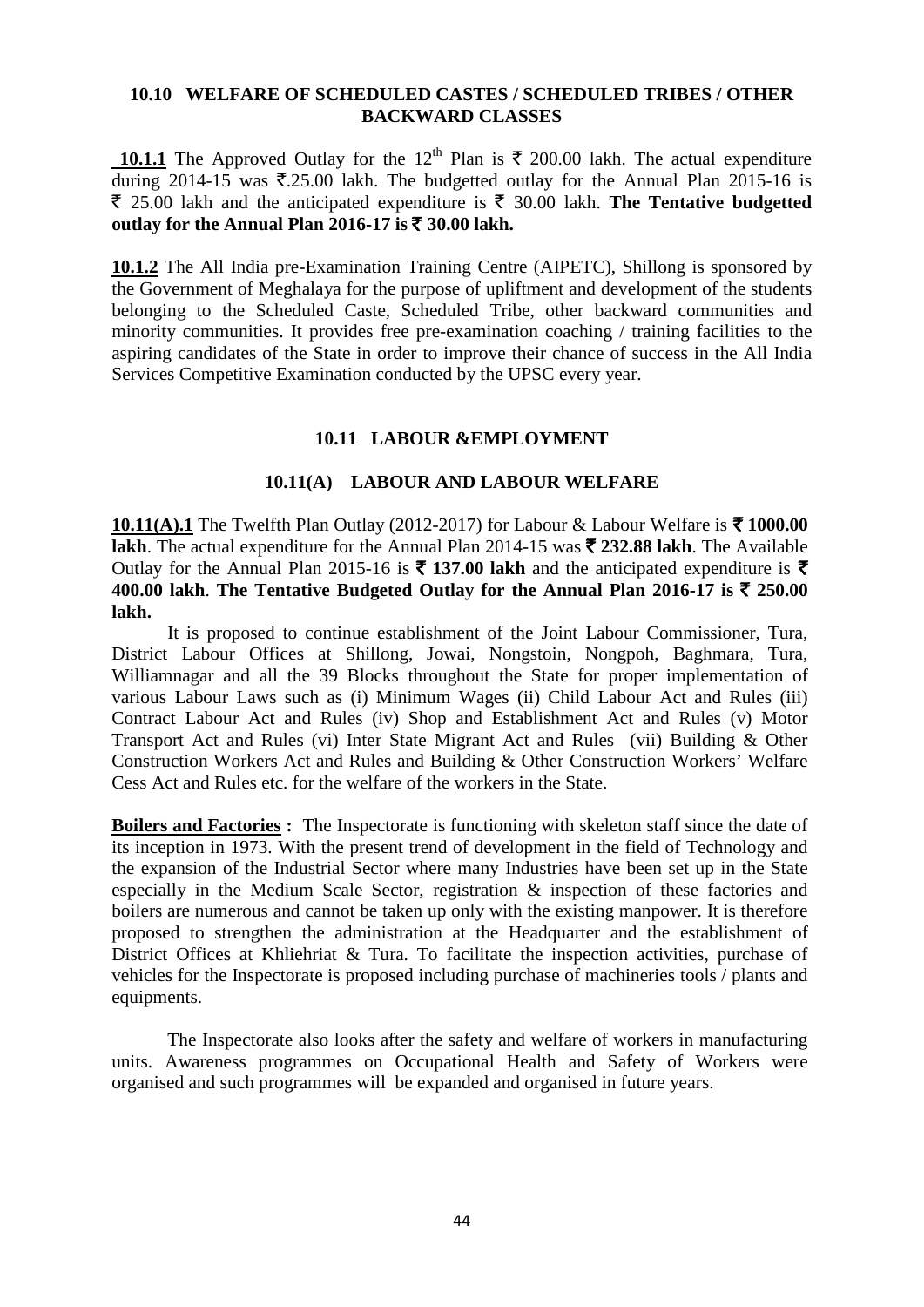### **10.10 WELFARE OF SCHEDULED CASTES / SCHEDULED TRIBES / OTHER BACKWARD CLASSES**

**10.1.1** The Approved Outlay for the 12<sup>th</sup> Plan is  $\bar{\tau}$  200.00 lakh. The actual expenditure during 2014-15 was  $\overline{\mathfrak{F}}.25.00$  lakh. The budgetted outlay for the Annual Plan 2015-16 is  $\bar{\tau}$  25.00 lakh and the anticipated expenditure is  $\bar{\tau}$  30.00 lakh. **The Tentative budgetted** outlay for the Annual Plan 2016-17 is  $\bar{\tau}$  30.00 lakh.

**10.1.2** The All India pre-Examination Training Centre (AIPETC), Shillong is sponsored by the Government of Meghalaya for the purpose of upliftment and development of the students belonging to the Scheduled Caste, Scheduled Tribe, other backward communities and minority communities. It provides free pre-examination coaching / training facilities to the aspiring candidates of the State in order to improve their chance of success in the All India Services Competitive Examination conducted by the UPSC every year.

# **10.11 LABOUR &EMPLOYMENT**

## **10.11(A) LABOUR AND LABOUR WELFARE**

**10.11(A).1** The Twelfth Plan Outlay (2012-2017) for Labour & Labour Welfare is ₹ 1000.00 **lakh**. The actual expenditure for the Annual Plan 2014-15 was  $\bar{\tau}$  232.88 lakh. The Available Outlay for the Annual Plan 2015-16 is  $\bar{\tau}$  137.00 lakh and the anticipated expenditure is  $\bar{\tau}$ **400.00 lakh. The Tentative Budgeted Outlay for the Annual Plan 2016-17 is**  $\bar{\tau}$  **250.00 lakh.**

It is proposed to continue establishment of the Joint Labour Commissioner, Tura, District Labour Offices at Shillong, Jowai, Nongstoin, Nongpoh, Baghmara, Tura, Williamnagar and all the 39 Blocks throughout the State for proper implementation of various Labour Laws such as (i) Minimum Wages (ii) Child Labour Act and Rules (iii) Contract Labour Act and Rules (iv) Shop and Establishment Act and Rules (v) Motor Transport Act and Rules (vi) Inter State Migrant Act and Rules (vii) Building & Other Construction Workers Act and Rules and Building & Other Construction Workers' Welfare Cess Act and Rules etc. for the welfare of the workers in the State.

**Boilers and Factories :** The Inspectorate is functioning with skeleton staff since the date of its inception in 1973. With the present trend of development in the field of Technology and the expansion of the Industrial Sector where many Industries have been set up in the State especially in the Medium Scale Sector, registration & inspection of these factories and boilers are numerous and cannot be taken up only with the existing manpower. It is therefore proposed to strengthen the administration at the Headquarter and the establishment of District Offices at Khliehriat & Tura. To facilitate the inspection activities, purchase of vehicles for the Inspectorate is proposed including purchase of machineries tools / plants and equipments.

The Inspectorate also looks after the safety and welfare of workers in manufacturing units. Awareness programmes on Occupational Health and Safety of Workers were organised and such programmes will be expanded and organised in future years.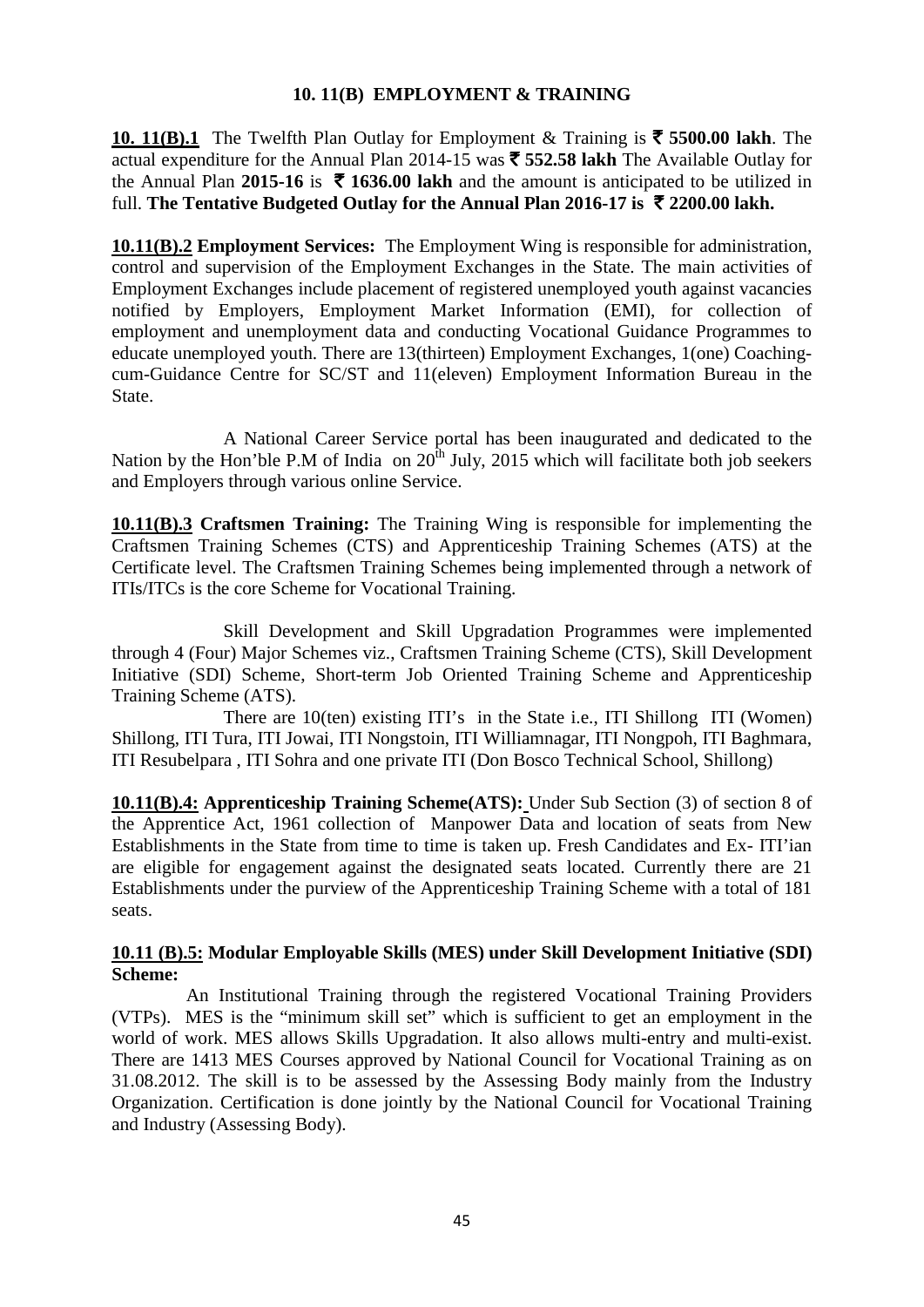## **10. 11(B) EMPLOYMENT & TRAINING**

**10. 11(B).1** The Twelfth Plan Outlay for Employment & Training is  $\bar{\tau}$  5500.00 lakh. The actual expenditure for the Annual Plan 2014-15 was ` **552.58 lakh** The Available Outlay for the Annual Plan 2015-16 is  $\bar{\tau}$  1636.00 lakh and the amount is anticipated to be utilized in full. **The Tentative Budgeted Outlay for the Annual Plan 2016-17 is** ` **2200.00 lakh.**

**10.11(B).2 Employment Services:** The Employment Wing is responsible for administration, control and supervision of the Employment Exchanges in the State. The main activities of Employment Exchanges include placement of registered unemployed youth against vacancies notified by Employers, Employment Market Information (EMI), for collection of employment and unemployment data and conducting Vocational Guidance Programmes to educate unemployed youth. There are 13(thirteen) Employment Exchanges, 1(one) Coachingcum-Guidance Centre for SC/ST and 11(eleven) Employment Information Bureau in the State.

A National Career Service portal has been inaugurated and dedicated to the Nation by the Hon'ble P.M of India on  $20^{\text{th}}$  July, 2015 which will facilitate both job seekers and Employers through various online Service.

**10.11(B).3 Craftsmen Training:** The Training Wing is responsible for implementing the Craftsmen Training Schemes (CTS) and Apprenticeship Training Schemes (ATS) at the Certificate level. The Craftsmen Training Schemes being implemented through a network of ITIs/ITCs is the core Scheme for Vocational Training.

Skill Development and Skill Upgradation Programmes were implemented through 4 (Four) Major Schemes viz., Craftsmen Training Scheme (CTS), Skill Development Initiative (SDI) Scheme, Short-term Job Oriented Training Scheme and Apprenticeship Training Scheme (ATS).

There are 10(ten) existing ITI's in the State i.e., ITI Shillong ITI (Women) Shillong, ITI Tura, ITI Jowai, ITI Nongstoin, ITI Williamnagar, ITI Nongpoh, ITI Baghmara, ITI Resubelpara , ITI Sohra and one private ITI (Don Bosco Technical School, Shillong)

**10.11(B).4: Apprenticeship Training Scheme(ATS):** Under Sub Section (3) of section 8 of the Apprentice Act, 1961 collection of Manpower Data and location of seats from New Establishments in the State from time to time is taken up. Fresh Candidates and Ex- ITI'ian are eligible for engagement against the designated seats located. Currently there are 21 Establishments under the purview of the Apprenticeship Training Scheme with a total of 181 seats.

## **10.11 (B).5: Modular Employable Skills (MES) under Skill Development Initiative (SDI) Scheme:**

An Institutional Training through the registered Vocational Training Providers (VTPs). MES is the "minimum skill set" which is sufficient to get an employment in the world of work. MES allows Skills Upgradation. It also allows multi-entry and multi-exist. There are 1413 MES Courses approved by National Council for Vocational Training as on 31.08.2012. The skill is to be assessed by the Assessing Body mainly from the Industry Organization. Certification is done jointly by the National Council for Vocational Training and Industry (Assessing Body).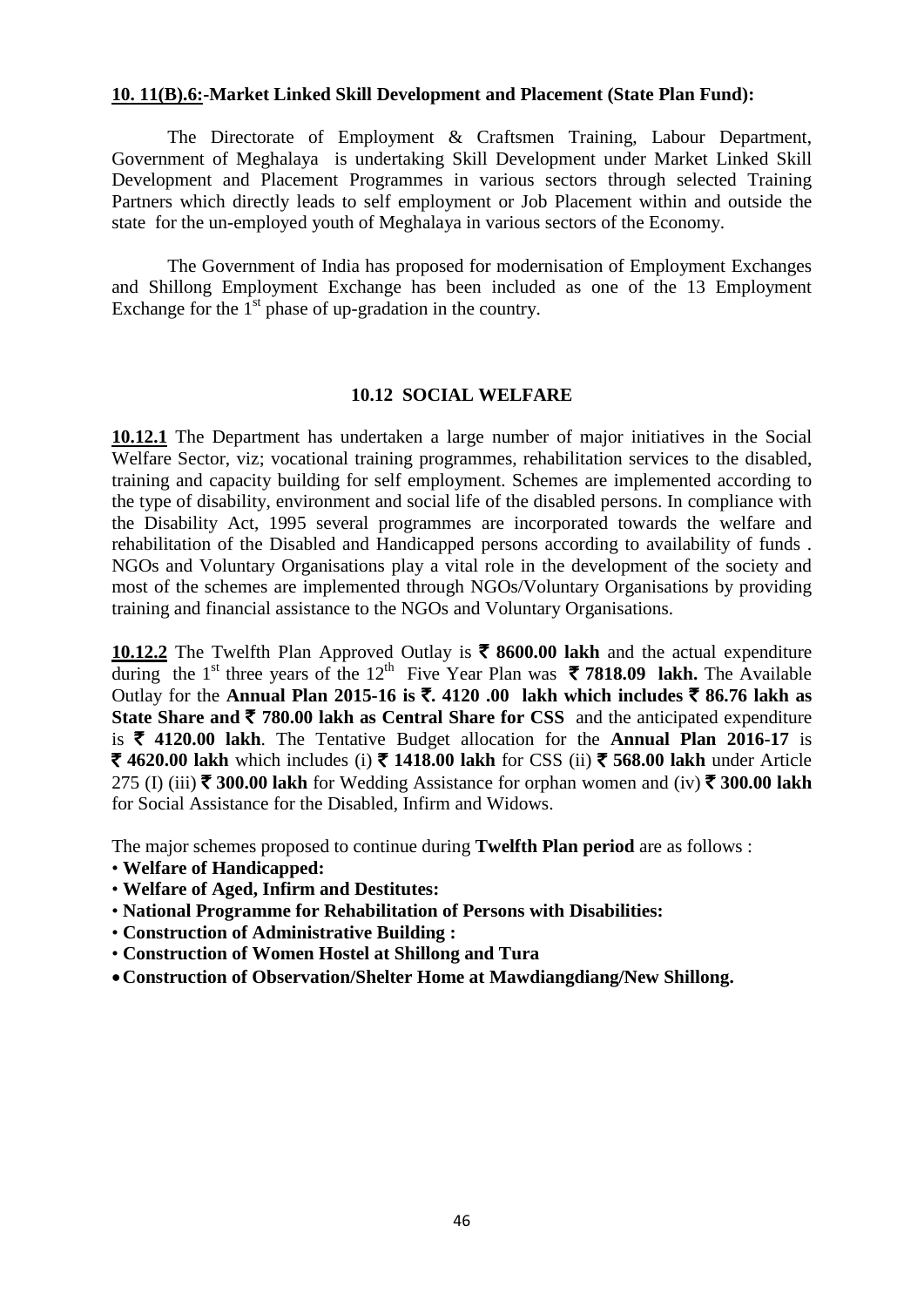### **10. 11(B).6:-Market Linked Skill Development and Placement (State Plan Fund):**

The Directorate of Employment & Craftsmen Training, Labour Department, Government of Meghalaya is undertaking Skill Development under Market Linked Skill Development and Placement Programmes in various sectors through selected Training Partners which directly leads to self employment or Job Placement within and outside the state for the un-employed youth of Meghalaya in various sectors of the Economy.

The Government of India has proposed for modernisation of Employment Exchanges and Shillong Employment Exchange has been included as one of the 13 Employment Exchange for the  $1<sup>st</sup>$  phase of up-gradation in the country.

#### **10.12 SOCIAL WELFARE**

**10.12.1** The Department has undertaken a large number of major initiatives in the Social Welfare Sector, viz; vocational training programmes, rehabilitation services to the disabled, training and capacity building for self employment. Schemes are implemented according to the type of disability, environment and social life of the disabled persons. In compliance with the Disability Act, 1995 several programmes are incorporated towards the welfare and rehabilitation of the Disabled and Handicapped persons according to availability of funds . NGOs and Voluntary Organisations play a vital role in the development of the society and most of the schemes are implemented through NGOs/Voluntary Organisations by providing training and financial assistance to the NGOs and Voluntary Organisations.

10.12.2 The Twelfth Plan Approved Outlay is  $\bar{\tau}$  8600.00 lakh and the actual expenditure during the 1<sup>st</sup> three years of the 12<sup>th</sup> Five Year Plan was  $\bar{\tau}$  **7818.09 lakh.** The Available Outlay for the **Annual Plan 2015-16 is** `**. 4120 .00 lakh which includes** ` **86.76 lakh as State Share and**  $\bar{\tau}$  **780.00 lakh as Central Share for CSS** and the anticipated expenditure is  $\bar{\tau}$  4120.00 lakh. The Tentative Budget allocation for the **Annual Plan 2016-17** is **₹ 4620.00 lakh** which includes (i) ₹ 1418.00 lakh for CSS (ii) ₹ 568.00 lakh under Article 275 (I) (iii)  $\bar{\tau}$  300.00 lakh for Wedding Assistance for orphan women and (iv)  $\bar{\tau}$  300.00 lakh for Social Assistance for the Disabled, Infirm and Widows.

The major schemes proposed to continue during **Twelfth Plan period** are as follows :

- **Welfare of Handicapped:**
- **Welfare of Aged, Infirm and Destitutes:**
- **National Programme for Rehabilitation of Persons with Disabilities:**
- **Construction of Administrative Building :**
- **Construction of Women Hostel at Shillong and Tura**
- •**Construction of Observation/Shelter Home at Mawdiangdiang/New Shillong.**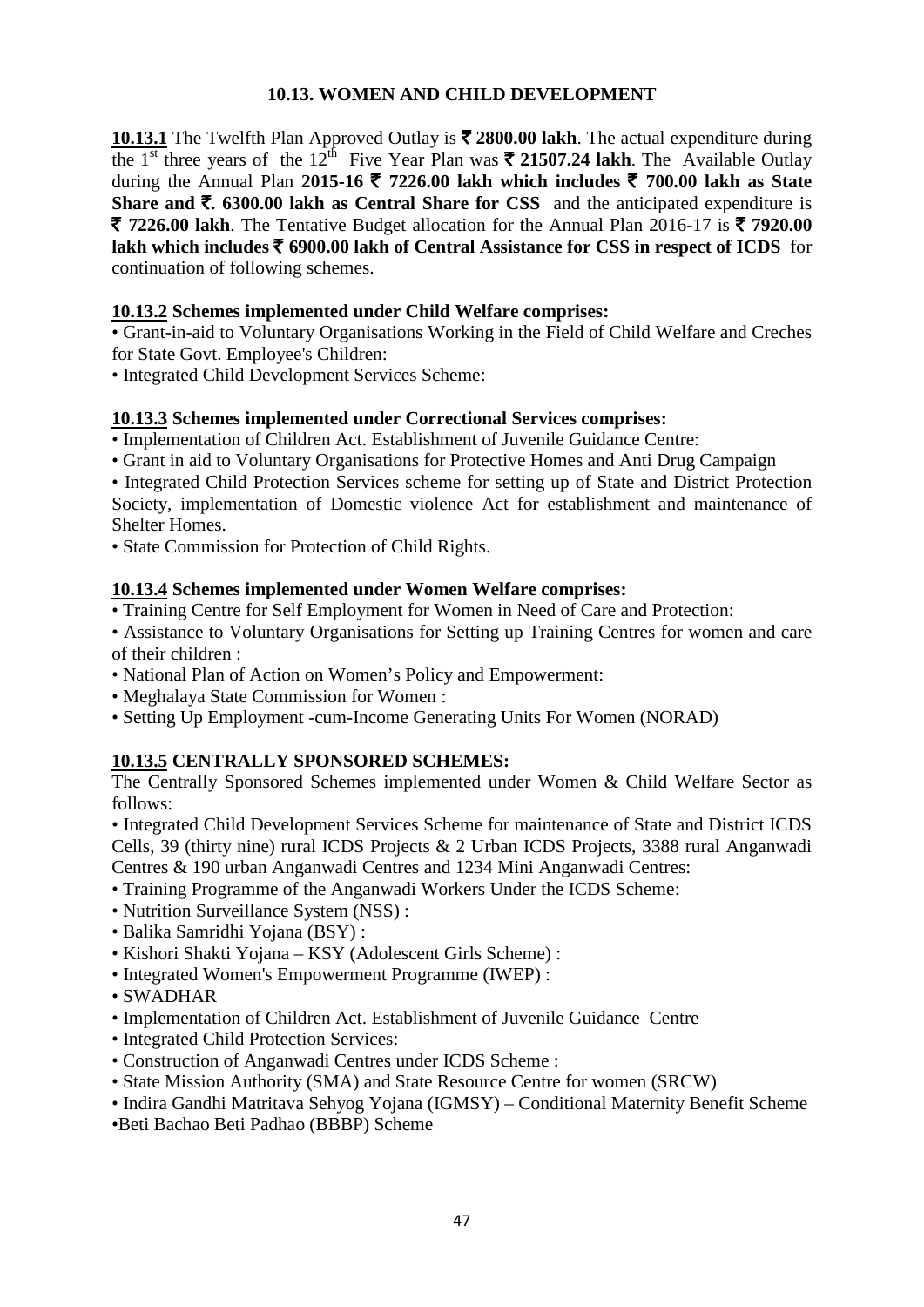# **10.13. WOMEN AND CHILD DEVELOPMENT**

**10.13.1** The Twelfth Plan Approved Outlay is ₹ 2800.00 lakh. The actual expenditure during the 1<sup>st</sup> three years of the 12<sup>th</sup> Five Year Plan was  $\bar{\mathbf{\xi}}$  21507.24 lakh. The Available Outlay during the Annual Plan **2015-16** ` **7226.00 lakh which includes** ` **700.00 lakh as State Share and**  $\bar{\mathbf{\tau}}$ **. 6300.00 lakh as Central Share for CSS** and the anticipated expenditure is  $\bar{\tau}$  7226.00 lakh. The Tentative Budget allocation for the Annual Plan 2016-17 is  $\bar{\tau}$  7920.00 **lakh which includes** ` **6900.00 lakh of Central Assistance for CSS in respect of ICDS** for continuation of following schemes.

# **10.13.2 Schemes implemented under Child Welfare comprises:**

• Grant-in-aid to Voluntary Organisations Working in the Field of Child Welfare and Creches for State Govt. Employee's Children:

• Integrated Child Development Services Scheme:

# **10.13.3 Schemes implemented under Correctional Services comprises:**

• Implementation of Children Act. Establishment of Juvenile Guidance Centre:

• Grant in aid to Voluntary Organisations for Protective Homes and Anti Drug Campaign

• Integrated Child Protection Services scheme for setting up of State and District Protection Society, implementation of Domestic violence Act for establishment and maintenance of Shelter Homes.

• State Commission for Protection of Child Rights.

## **10.13.4 Schemes implemented under Women Welfare comprises:**

- Training Centre for Self Employment for Women in Need of Care and Protection:
- Assistance to Voluntary Organisations for Setting up Training Centres for women and care of their children :
- National Plan of Action on Women's Policy and Empowerment:
- Meghalaya State Commission for Women :
- Setting Up Employment -cum-Income Generating Units For Women (NORAD)

## **10.13.5 CENTRALLY SPONSORED SCHEMES:**

The Centrally Sponsored Schemes implemented under Women & Child Welfare Sector as follows:

• Integrated Child Development Services Scheme for maintenance of State and District ICDS Cells, 39 (thirty nine) rural ICDS Projects & 2 Urban ICDS Projects, 3388 rural Anganwadi Centres & 190 urban Anganwadi Centres and 1234 Mini Anganwadi Centres:

- Training Programme of the Anganwadi Workers Under the ICDS Scheme:
- Nutrition Surveillance System (NSS) :
- Balika Samridhi Yojana (BSY) :
- Kishori Shakti Yojana KSY (Adolescent Girls Scheme) :
- Integrated Women's Empowerment Programme (IWEP) :
- SWADHAR
- Implementation of Children Act. Establishment of Juvenile Guidance Centre
- Integrated Child Protection Services:
- Construction of Anganwadi Centres under ICDS Scheme :
- State Mission Authority (SMA) and State Resource Centre for women (SRCW)
- Indira Gandhi Matritava Sehyog Yojana (IGMSY) Conditional Maternity Benefit Scheme
- •Beti Bachao Beti Padhao (BBBP) Scheme